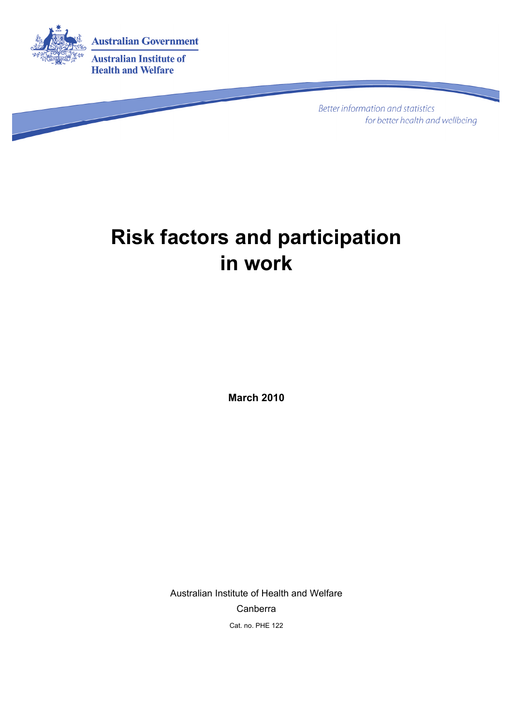

**Better information and statistics** for better health and wellbeing

# **Risk factors and participation in work**

**March 2010** 

Australian Institute of Health and Welfare Canberra Cat. no. PHE 122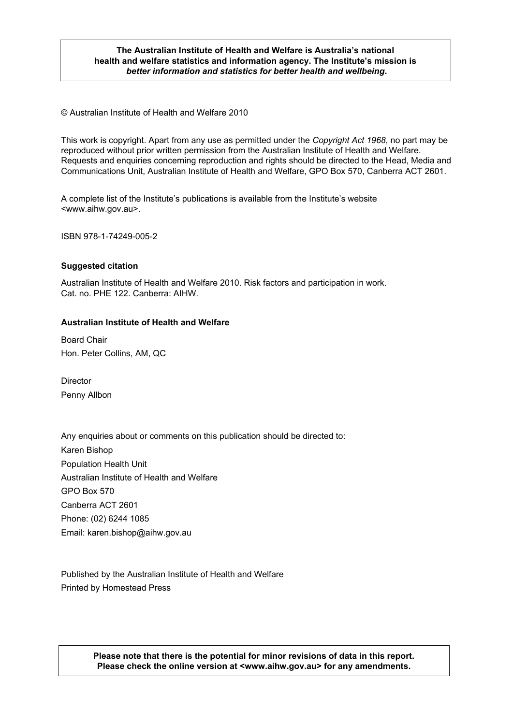#### **The Australian Institute of Health and Welfare is Australia's national health and welfare statistics and information agency. The Institute's mission is**  *better information and statistics for better health and wellbeing***.**

© Australian Institute of Health and Welfare 2010

This work is copyright. Apart from any use as permitted under the *Copyright Act 1968*, no part may be reproduced without prior written permission from the Australian Institute of Health and Welfare. Requests and enquiries concerning reproduction and rights should be directed to the Head, Media and Communications Unit, Australian Institute of Health and Welfare, GPO Box 570, Canberra ACT 2601.

A complete list of the Institute's publications is available from the Institute's website <www.aihw.gov.au>.

ISBN 978-1-74249-005-2

#### **Suggested citation**

Australian Institute of Health and Welfare 2010. Risk factors and participation in work. Cat. no. PHE 122. Canberra: AIHW.

#### **Australian Institute of Health and Welfare**

Board Chair Hon. Peter Collins, AM, QC

Director Penny Allbon

Any enquiries about or comments on this publication should be directed to: Karen Bishop Population Health Unit Australian Institute of Health and Welfare GPO Box 570 Canberra ACT 2601 Phone: (02) 6244 1085 Email: karen.bishop@aihw.gov.au

Published by the Australian Institute of Health and Welfare Printed by Homestead Press

> 2 **Please check the online version at <www.aihw.gov.au> for any amendments. Please note that there is the potential for minor revisions of data in this report.**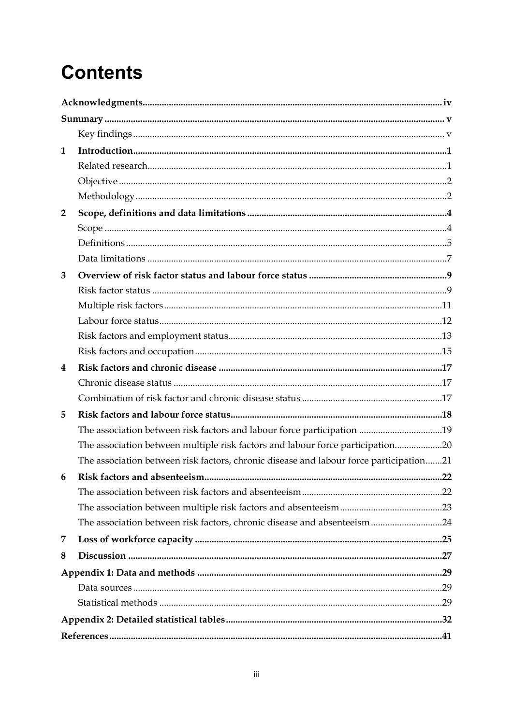# **Contents**

| $\mathbf{1}$   |                                                                                        |  |
|----------------|----------------------------------------------------------------------------------------|--|
|                |                                                                                        |  |
|                |                                                                                        |  |
|                |                                                                                        |  |
| $\overline{2}$ |                                                                                        |  |
|                |                                                                                        |  |
|                |                                                                                        |  |
|                |                                                                                        |  |
| 3              |                                                                                        |  |
|                |                                                                                        |  |
|                |                                                                                        |  |
|                |                                                                                        |  |
|                |                                                                                        |  |
|                |                                                                                        |  |
| 4              |                                                                                        |  |
|                |                                                                                        |  |
|                |                                                                                        |  |
| 5              |                                                                                        |  |
|                | The association between risk factors and labour force participation 19                 |  |
|                | The association between multiple risk factors and labour force participation20         |  |
|                | The association between risk factors, chronic disease and labour force participation21 |  |
| 6              |                                                                                        |  |
|                |                                                                                        |  |
|                |                                                                                        |  |
|                | The association between risk factors, chronic disease and absenteeism24                |  |
| 7              |                                                                                        |  |
| 8              |                                                                                        |  |
|                |                                                                                        |  |
|                |                                                                                        |  |
|                |                                                                                        |  |
|                |                                                                                        |  |
|                |                                                                                        |  |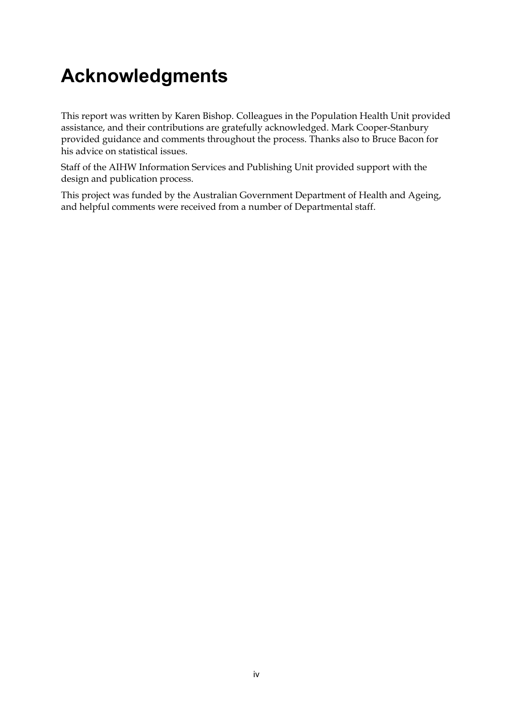# <span id="page-3-0"></span>**Acknowledgments**

This report was written by Karen Bishop. Colleagues in the Population Health Unit provided assistance, and their contributions are gratefully acknowledged. Mark Cooper-Stanbury provided guidance and comments throughout the process. Thanks also to Bruce Bacon for his advice on statistical issues.

Staff of the AIHW Information Services and Publishing Unit provided support with the design and publication process.

This project was funded by the Australian Government Department of Health and Ageing, and helpful comments were received from a number of Departmental staff.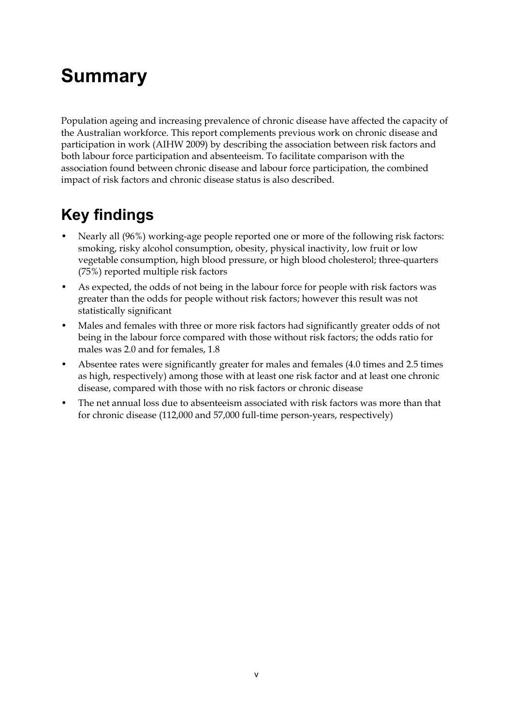# <span id="page-4-0"></span>**Summary**

Population ageing and increasing prevalence of chronic disease have affected the capacity of the Australian workforce. This report complements previous work on chronic disease and participation in work (AIHW 2009) by describing the association between risk factors and both labour force participation and absenteeism. To facilitate comparison with the association found between chronic disease and labour force participation, the combined impact of risk factors and chronic disease status is also described.

## <span id="page-4-1"></span>**Key findings**

- Nearly all (96%) working-age people reported one or more of the following risk factors: smoking, risky alcohol consumption, obesity, physical inactivity, low fruit or low vegetable consumption, high blood pressure, or high blood cholesterol; three-quarters (75%) reported multiple risk factors
- As expected, the odds of not being in the labour force for people with risk factors was greater than the odds for people without risk factors; however this result was not statistically significant
- Males and females with three or more risk factors had significantly greater odds of not being in the labour force compared with those without risk factors; the odds ratio for males was 2.0 and for females, 1.8
- Absentee rates were significantly greater for males and females (4.0 times and 2.5 times as high, respectively) among those with at least one risk factor and at least one chronic disease, compared with those with no risk factors or chronic disease
- The net annual loss due to absenteeism associated with risk factors was more than that for chronic disease (112,000 and 57,000 full-time person-years, respectively)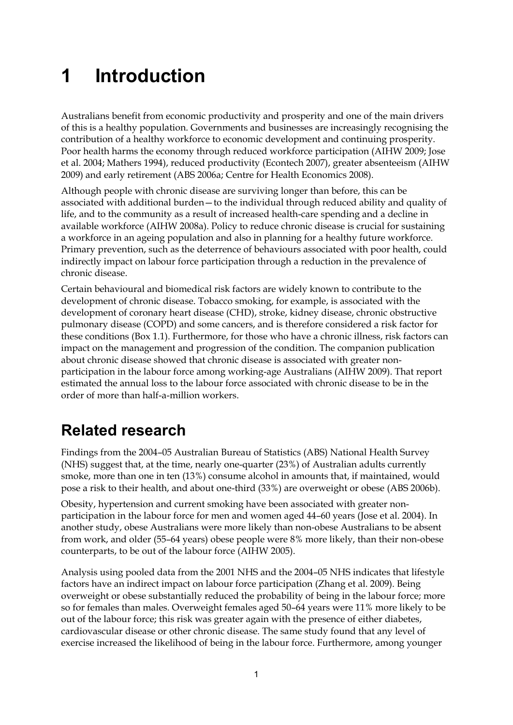# <span id="page-6-0"></span>**1 Introduction**

Australians benefit from economic productivity and prosperity and one of the main drivers of this is a healthy population. Governments and businesses are increasingly recognising the contribution of a healthy workforce to economic development and continuing prosperity. Poor health harms the economy through reduced workforce participation (AIHW 2009; Jose et al. 2004; Mathers 1994), reduced productivity (Econtech 2007), greater absenteeism (AIHW 2009) and early retirement (ABS 2006a; Centre for Health Economics 2008).

Although people with chronic disease are surviving longer than before, this can be associated with additional burden—to the individual through reduced ability and quality of life, and to the community as a result of increased health-care spending and a decline in available workforce (AIHW 2008a). Policy to reduce chronic disease is crucial for sustaining a workforce in an ageing population and also in planning for a healthy future workforce. Primary prevention, such as the deterrence of behaviours associated with poor health, could indirectly impact on labour force participation through a reduction in the prevalence of chronic disease.

Certain behavioural and biomedical risk factors are widely known to contribute to the development of chronic disease. Tobacco smoking, for example, is associated with the development of coronary heart disease (CHD), stroke, kidney disease, chronic obstructive pulmonary disease (COPD) and some cancers, and is therefore considered a risk factor for these conditions (Box 1.1). Furthermore, for those who have a chronic illness, risk factors can impact on the management and progression of the condition. The companion publication about chronic disease showed that chronic disease is associated with greater nonparticipation in the labour force among working-age Australians (AIHW 2009). That report estimated the annual loss to the labour force associated with chronic disease to be in the order of more than half-a-million workers.

## <span id="page-6-1"></span>**Related research**

Findings from the 2004–05 Australian Bureau of Statistics (ABS) National Health Survey (NHS) suggest that, at the time, nearly one-quarter (23%) of Australian adults currently smoke, more than one in ten (13%) consume alcohol in amounts that, if maintained, would pose a risk to their health, and about one-third (33%) are overweight or obese (ABS 2006b).

Obesity, hypertension and current smoking have been associated with greater nonparticipation in the labour force for men and women aged 44–60 years (Jose et al. 2004). In another study, obese Australians were more likely than non-obese Australians to be absent from work, and older (55–64 years) obese people were 8% more likely, than their non-obese counterparts, to be out of the labour force (AIHW 2005).

Analysis using pooled data from the 2001 NHS and the 2004–05 NHS indicates that lifestyle factors have an indirect impact on labour force participation (Zhang et al. 2009). Being overweight or obese substantially reduced the probability of being in the labour force; more so for females than males. Overweight females aged 50–64 years were 11% more likely to be out of the labour force; this risk was greater again with the presence of either diabetes, cardiovascular disease or other chronic disease. The same study found that any level of exercise increased the likelihood of being in the labour force. Furthermore, among younger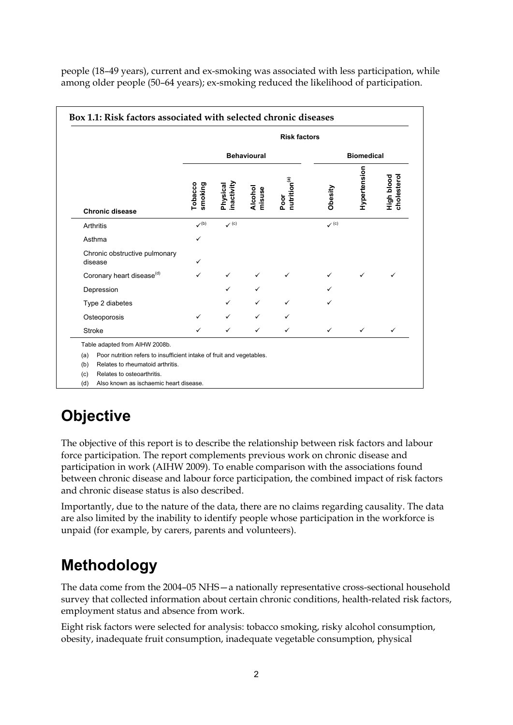people (18–49 years), current and ex-smoking was associated with less participation, while among older people (50–64 years); ex-smoking reduced the likelihood of participation.

|                                                                                                                         |                    |                        |                    | <b>Risk factors</b>              |                  |                   |                           |
|-------------------------------------------------------------------------------------------------------------------------|--------------------|------------------------|--------------------|----------------------------------|------------------|-------------------|---------------------------|
|                                                                                                                         |                    |                        | <b>Behavioural</b> |                                  |                  | <b>Biomedical</b> |                           |
| <b>Chronic disease</b>                                                                                                  | Tobacco<br>smoking | inactivity<br>Physical | Alcohol<br>misuse  | nutrition <sup>(a)</sup><br>Poor | Obesity          | Hypertension      | High blood<br>cholesterol |
| <b>Arthritis</b>                                                                                                        | $v^{(b)}$          | $\checkmark$ (c)       |                    |                                  | $\checkmark$ (c) |                   |                           |
| Asthma                                                                                                                  | $\checkmark$       |                        |                    |                                  |                  |                   |                           |
| Chronic obstructive pulmonary<br>disease                                                                                | ✓                  |                        |                    |                                  |                  |                   |                           |
| Coronary heart disease <sup>(d)</sup>                                                                                   | ✓                  | $\checkmark$           | ✓                  | ✓                                | ✓                | ✓                 | ✓                         |
| Depression                                                                                                              |                    | ✓                      | ✓                  |                                  | ✓                |                   |                           |
| Type 2 diabetes                                                                                                         |                    | ✓                      | ✓                  | ✓                                |                  |                   |                           |
| Osteoporosis                                                                                                            | ✓                  | ✓                      | ✓                  | $\checkmark$                     |                  |                   |                           |
| <b>Stroke</b>                                                                                                           | ✓                  | ✓                      | ✓                  | $\checkmark$                     | $\checkmark$     | $\checkmark$      | $\checkmark$              |
| Table adapted from AIHW 2008b.                                                                                          |                    |                        |                    |                                  |                  |                   |                           |
| Poor nutrition refers to insufficient intake of fruit and vegetables.<br>(a)<br>Relates to rheumatoid arthritis.<br>(b) |                    |                        |                    |                                  |                  |                   |                           |
| Relates to osteoarthritis.<br>(c)                                                                                       |                    |                        |                    |                                  |                  |                   |                           |
| Also known as ischaemic heart disease.<br>(d)                                                                           |                    |                        |                    |                                  |                  |                   |                           |

## <span id="page-7-0"></span>**Objective**

The objective of this report is to describe the relationship between risk factors and labour force participation. The report complements previous work on chronic disease and participation in work (AIHW 2009). To enable comparison with the associations found between chronic disease and labour force participation, the combined impact of risk factors and chronic disease status is also described.

Importantly, due to the nature of the data, there are no claims regarding causality. The data are also limited by the inability to identify people whose participation in the workforce is unpaid (for example, by carers, parents and volunteers).

## <span id="page-7-1"></span>**Methodology**

The data come from the 2004–05 NHS—a nationally representative cross-sectional household survey that collected information about certain chronic conditions, health-related risk factors, employment status and absence from work.

Eight risk factors were selected for analysis: tobacco smoking, risky alcohol consumption, obesity, inadequate fruit consumption, inadequate vegetable consumption, physical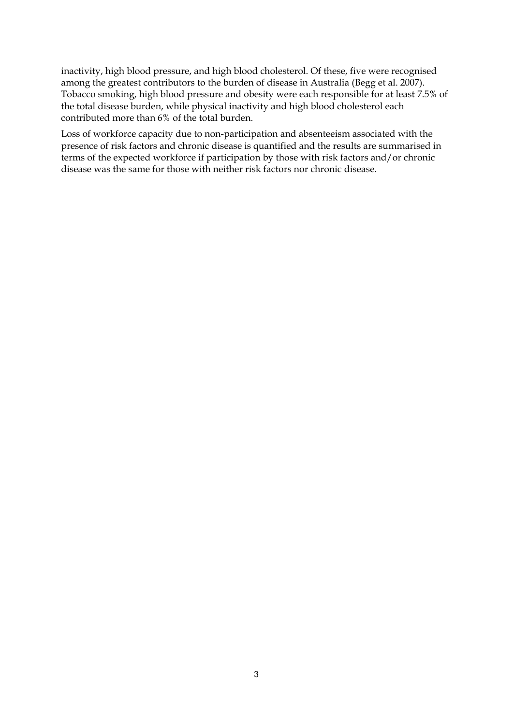inactivity, high blood pressure, and high blood cholesterol. Of these, five were recognised among the greatest contributors to the burden of disease in Australia (Begg et al. 2007). Tobacco smoking, high blood pressure and obesity were each responsible for at least 7.5% of the total disease burden, while physical inactivity and high blood cholesterol each contributed more than 6% of the total burden.

Loss of workforce capacity due to non-participation and absenteeism associated with the presence of risk factors and chronic disease is quantified and the results are summarised in terms of the expected workforce if participation by those with risk factors and/or chronic disease was the same for those with neither risk factors nor chronic disease.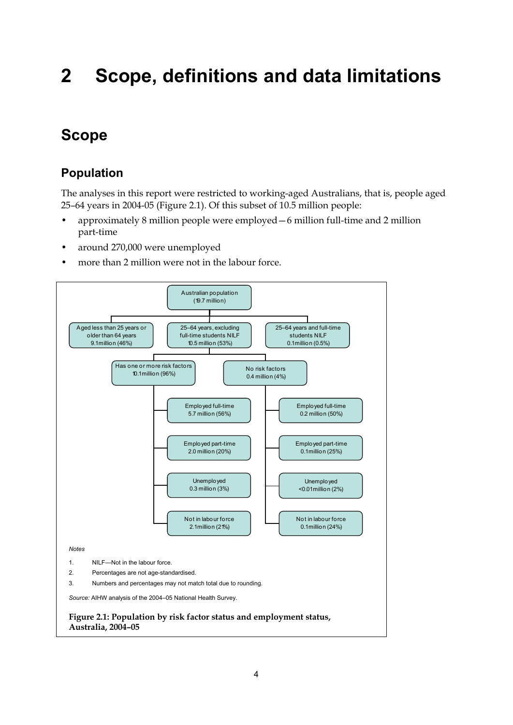# <span id="page-9-0"></span>**2 Scope, definitions and data limitations**

## <span id="page-9-1"></span>**Scope**

### **Population**

The analyses in this report were restricted to working-aged Australians, that is, people aged 25–64 years in 2004-05 (Figure 2.1). Of this subset of 10.5 million people:

- approximately 8 million people were employed—6 million full-time and 2 million part-time
- around 270,000 were unemployed
- more than 2 million were not in the labour force.

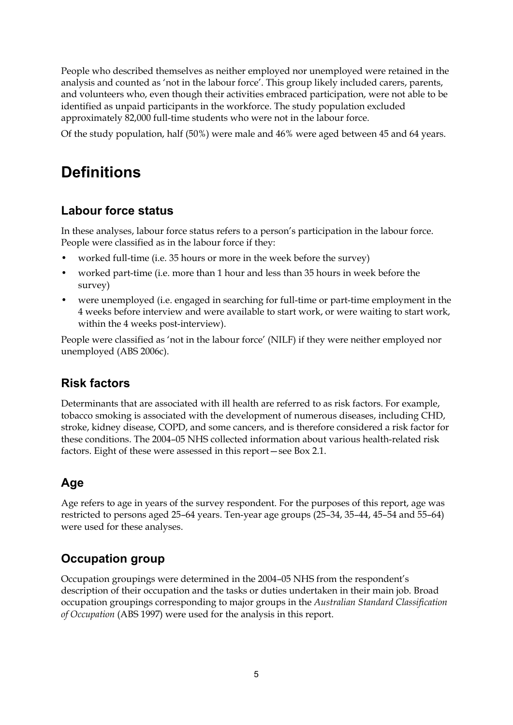People who described themselves as neither employed nor unemployed were retained in the analysis and counted as 'not in the labour force'. This group likely included carers, parents, and volunteers who, even though their activities embraced participation, were not able to be identified as unpaid participants in the workforce. The study population excluded approximately 82,000 full-time students who were not in the labour force.

Of the study population, half (50%) were male and 46% were aged between 45 and 64 years.

## <span id="page-10-0"></span>**Definitions**

### **Labour force status**

In these analyses, labour force status refers to a person's participation in the labour force. People were classified as in the labour force if they:

- worked full-time (i.e. 35 hours or more in the week before the survey)
- worked part-time (i.e. more than 1 hour and less than 35 hours in week before the survey)
- were unemployed (i.e. engaged in searching for full-time or part-time employment in the 4 weeks before interview and were available to start work, or were waiting to start work, within the 4 weeks post-interview).

People were classified as 'not in the labour force' (NILF) if they were neither employed nor unemployed (ABS 2006c).

### **Risk factors**

Determinants that are associated with ill health are referred to as risk factors. For example, tobacco smoking is associated with the development of numerous diseases, including CHD, stroke, kidney disease, COPD, and some cancers, and is therefore considered a risk factor for these conditions. The 2004–05 NHS collected information about various health-related risk factors. Eight of these were assessed in this report—see Box 2.1.

### **Age**

Age refers to age in years of the survey respondent. For the purposes of this report, age was restricted to persons aged 25–64 years. Ten-year age groups (25–34, 35–44, 45–54 and 55–64) were used for these analyses.

### **Occupation group**

Occupation groupings were determined in the 2004–05 NHS from the respondent's description of their occupation and the tasks or duties undertaken in their main job. Broad occupation groupings corresponding to major groups in the *Australian Standard Classification of Occupation* (ABS 1997) were used for the analysis in this report.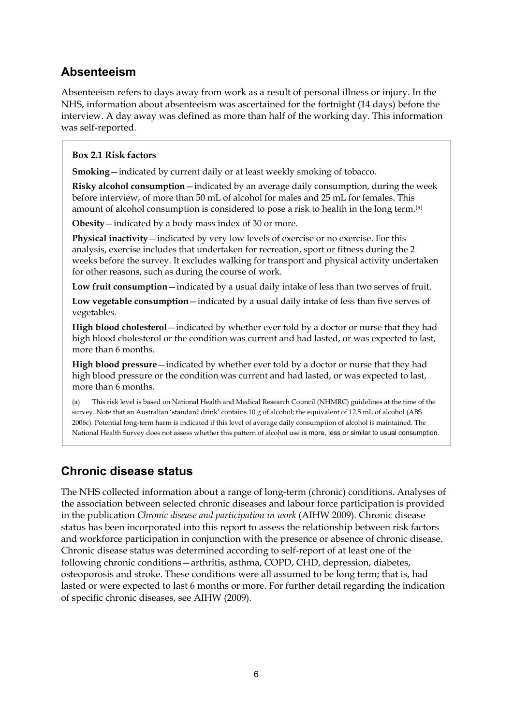### **Absenteeism**

Absenteeism refers to days away from work as a result of personal illness or injury. In the NHS, information about absenteeism was ascertained for the fortnight (14 days) before the interview. A day away was defined as more than half of the working day. This information was self-reported.

#### **Box 2.1 Risk factors**

**Smoking**—indicated by current daily or at least weekly smoking of tobacco.

**Risky alcohol consumption**—indicated by an average daily consumption, during the week before interview, of more than 50 mL of alcohol for males and 25 mL for females. This amount of alcohol consumption is considered to pose a risk to health in the long term.<sup>(a)</sup>

**Obesity**—indicated by a body mass index of 30 or more.

**Physical inactivity**—indicated by very low levels of exercise or no exercise. For this analysis, exercise includes that undertaken for recreation, sport or fitness during the 2 weeks before the survey. It excludes walking for transport and physical activity undertaken for other reasons, such as during the course of work.

**Low fruit consumption**—indicated by a usual daily intake of less than two serves of fruit.

**Low vegetable consumption**—indicated by a usual daily intake of less than five serves of vegetables.

**High blood cholesterol**—indicated by whether ever told by a doctor or nurse that they had high blood cholesterol or the condition was current and had lasted, or was expected to last, more than 6 months.

**High blood pressure**—indicated by whether ever told by a doctor or nurse that they had high blood pressure or the condition was current and had lasted, or was expected to last, more than 6 months.

(a) This risk level is based on National Health and Medical Research Council (NHMRC) guidelines at the time of the survey. Note that an Australian 'standard drink' contains 10 g of alcohol; the equivalent of 12.5 mL of alcohol (ABS 2006c). Potential long-term harm is indicated if this level of average daily consumption of alcohol is maintained. The National Health Survey does not assess whether this pattern of alcohol use is more, less or similar to usual consumption.

### **Chronic disease status**

The NHS collected information about a range of long-term (chronic) conditions. Analyses of the association between selected chronic diseases and labour force participation is provided in the publication *Chronic disease and participation in work* (AIHW 2009). Chronic disease status has been incorporated into this report to assess the relationship between risk factors and workforce participation in conjunction with the presence or absence of chronic disease. Chronic disease status was determined according to self-report of at least one of the following chronic conditions—arthritis, asthma, COPD, CHD, depression, diabetes, osteoporosis and stroke. These conditions were all assumed to be long term; that is, had lasted or were expected to last 6 months or more. For further detail regarding the indication of specific chronic diseases, see AIHW (2009).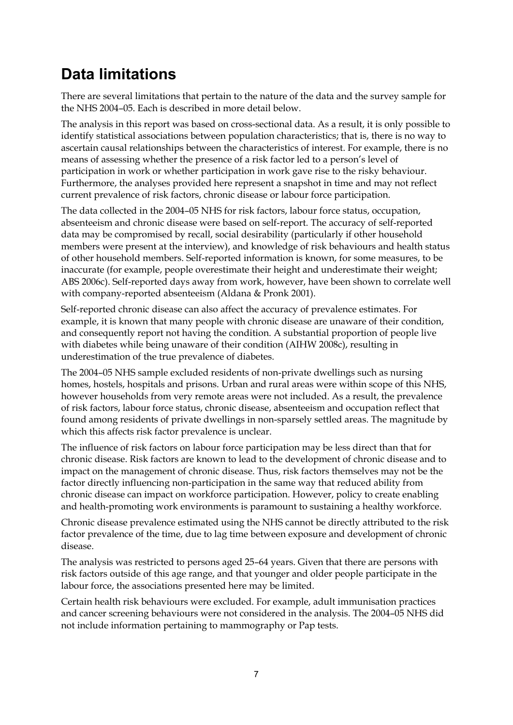## <span id="page-12-0"></span>**Data limitations**

There are several limitations that pertain to the nature of the data and the survey sample for the NHS 2004–05. Each is described in more detail below.

The analysis in this report was based on cross-sectional data. As a result, it is only possible to identify statistical associations between population characteristics; that is, there is no way to ascertain causal relationships between the characteristics of interest. For example, there is no means of assessing whether the presence of a risk factor led to a person's level of participation in work or whether participation in work gave rise to the risky behaviour. Furthermore, the analyses provided here represent a snapshot in time and may not reflect current prevalence of risk factors, chronic disease or labour force participation.

The data collected in the 2004–05 NHS for risk factors, labour force status, occupation, absenteeism and chronic disease were based on self-report. The accuracy of self-reported data may be compromised by recall, social desirability (particularly if other household members were present at the interview), and knowledge of risk behaviours and health status of other household members. Self-reported information is known, for some measures, to be inaccurate (for example, people overestimate their height and underestimate their weight; ABS 2006c). Self-reported days away from work, however, have been shown to correlate well with company-reported absenteeism (Aldana & Pronk 2001).

Self-reported chronic disease can also affect the accuracy of prevalence estimates. For example, it is known that many people with chronic disease are unaware of their condition, and consequently report not having the condition. A substantial proportion of people live with diabetes while being unaware of their condition (AIHW 2008c), resulting in underestimation of the true prevalence of diabetes.

The 2004–05 NHS sample excluded residents of non-private dwellings such as nursing homes, hostels, hospitals and prisons. Urban and rural areas were within scope of this NHS, however households from very remote areas were not included. As a result, the prevalence of risk factors, labour force status, chronic disease, absenteeism and occupation reflect that found among residents of private dwellings in non-sparsely settled areas. The magnitude by which this affects risk factor prevalence is unclear.

The influence of risk factors on labour force participation may be less direct than that for chronic disease. Risk factors are known to lead to the development of chronic disease and to impact on the management of chronic disease. Thus, risk factors themselves may not be the factor directly influencing non-participation in the same way that reduced ability from chronic disease can impact on workforce participation. However, policy to create enabling and health-promoting work environments is paramount to sustaining a healthy workforce.

Chronic disease prevalence estimated using the NHS cannot be directly attributed to the risk factor prevalence of the time, due to lag time between exposure and development of chronic disease.

The analysis was restricted to persons aged 25–64 years. Given that there are persons with risk factors outside of this age range, and that younger and older people participate in the labour force, the associations presented here may be limited.

Certain health risk behaviours were excluded. For example, adult immunisation practices and cancer screening behaviours were not considered in the analysis. The 2004–05 NHS did not include information pertaining to mammography or Pap tests.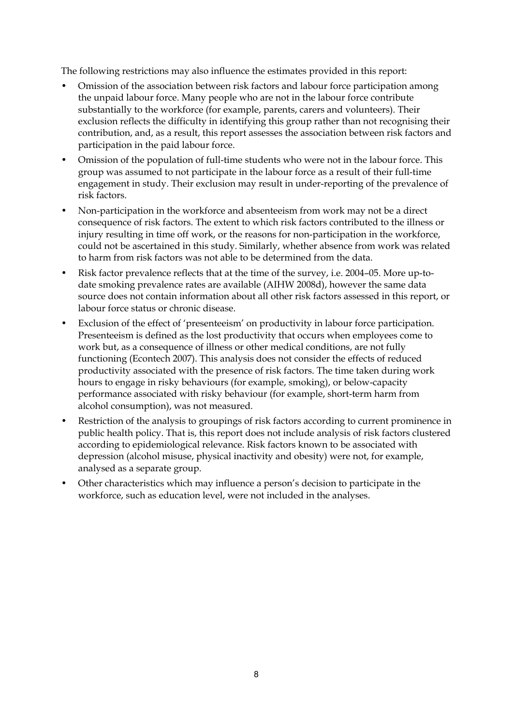The following restrictions may also influence the estimates provided in this report:

- Omission of the association between risk factors and labour force participation among the unpaid labour force. Many people who are not in the labour force contribute substantially to the workforce (for example, parents, carers and volunteers). Their exclusion reflects the difficulty in identifying this group rather than not recognising their contribution, and, as a result, this report assesses the association between risk factors and participation in the paid labour force.
- Omission of the population of full-time students who were not in the labour force. This group was assumed to not participate in the labour force as a result of their full-time engagement in study. Their exclusion may result in under-reporting of the prevalence of risk factors.
- Non-participation in the workforce and absenteeism from work may not be a direct consequence of risk factors. The extent to which risk factors contributed to the illness or injury resulting in time off work, or the reasons for non-participation in the workforce, could not be ascertained in this study. Similarly, whether absence from work was related to harm from risk factors was not able to be determined from the data.
- Risk factor prevalence reflects that at the time of the survey, i.e. 2004–05. More up-todate smoking prevalence rates are available (AIHW 2008d), however the same data source does not contain information about all other risk factors assessed in this report, or labour force status or chronic disease.
- Exclusion of the effect of 'presenteeism' on productivity in labour force participation. Presenteeism is defined as the lost productivity that occurs when employees come to work but, as a consequence of illness or other medical conditions, are not fully functioning (Econtech 2007). This analysis does not consider the effects of reduced productivity associated with the presence of risk factors. The time taken during work hours to engage in risky behaviours (for example, smoking), or below-capacity performance associated with risky behaviour (for example, short-term harm from alcohol consumption), was not measured.
- Restriction of the analysis to groupings of risk factors according to current prominence in public health policy. That is, this report does not include analysis of risk factors clustered according to epidemiological relevance. Risk factors known to be associated with depression (alcohol misuse, physical inactivity and obesity) were not, for example, analysed as a separate group.
- Other characteristics which may influence a person's decision to participate in the workforce, such as education level, were not included in the analyses.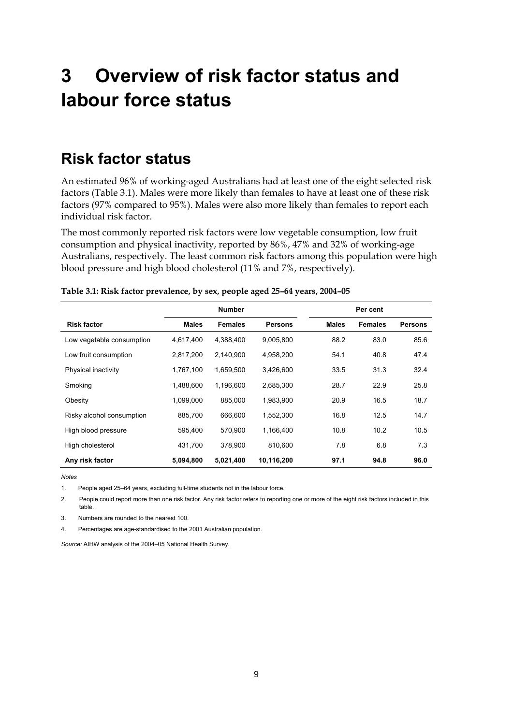# <span id="page-14-0"></span>**3 Overview of risk factor status and labour force status**

## <span id="page-14-1"></span>**Risk factor status**

An estimated 96% of working-aged Australians had at least one of the eight selected risk factors (Table 3.1). Males were more likely than females to have at least one of these risk factors (97% compared to 95%). Males were also more likely than females to report each individual risk factor.

The most commonly reported risk factors were low vegetable consumption, low fruit consumption and physical inactivity, reported by 86%, 47% and 32% of working-age Australians, respectively. The least common risk factors among this population were high blood pressure and high blood cholesterol (11% and 7%, respectively).

|                           | <b>Number</b> |                |                | Per cent     |                |                |
|---------------------------|---------------|----------------|----------------|--------------|----------------|----------------|
| <b>Risk factor</b>        | <b>Males</b>  | <b>Females</b> | <b>Persons</b> | <b>Males</b> | <b>Females</b> | <b>Persons</b> |
| Low vegetable consumption | 4,617,400     | 4,388,400      | 9,005,800      | 88.2         | 83.0           | 85.6           |
| Low fruit consumption     | 2,817,200     | 2,140,900      | 4,958,200      | 54.1         | 40.8           | 47.4           |
| Physical inactivity       | 1,767,100     | 1,659,500      | 3,426,600      | 33.5         | 31.3           | 32.4           |
| Smoking                   | 1,488,600     | 1,196,600      | 2,685,300      | 28.7         | 22.9           | 25.8           |
| Obesity                   | 1.099.000     | 885,000        | 1,983,900      | 20.9         | 16.5           | 18.7           |
| Risky alcohol consumption | 885,700       | 666,600        | 1,552,300      | 16.8         | 12.5           | 14.7           |
| High blood pressure       | 595.400       | 570.900        | 1.166.400      | 10.8         | 10.2           | 10.5           |
| High cholesterol          | 431,700       | 378,900        | 810,600        | 7.8          | 6.8            | 7.3            |
| Any risk factor           | 5,094,800     | 5,021,400      | 10,116,200     | 97.1         | 94.8           | 96.0           |

*Notes* 

1. People aged 25–64 years, excluding full-time students not in the labour force.

2. People could report more than one risk factor. Any risk factor refers to reporting one or more of the eight risk factors included in this table.

3. Numbers are rounded to the nearest 100.

4. Percentages are age-standardised to the 2001 Australian population.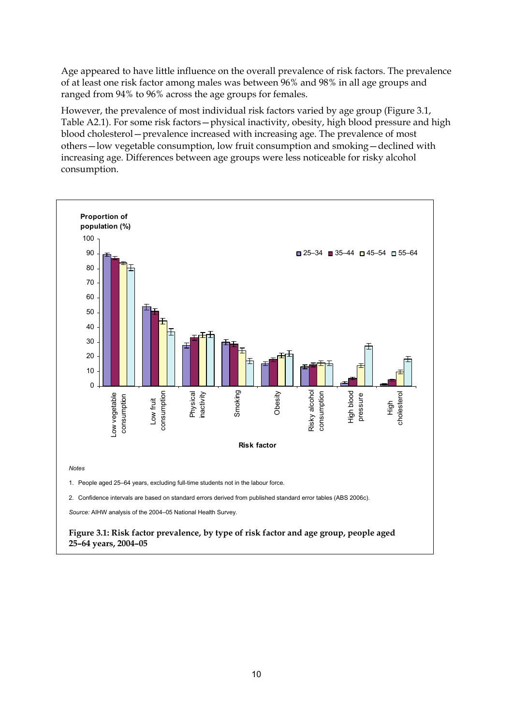Age appeared to have little influence on the overall prevalence of risk factors. The prevalence of at least one risk factor among males was between 96% and 98% in all age groups and ranged from 94% to 96% across the age groups for females.

However, the prevalence of most individual risk factors varied by age group (Figure 3.1, Table A2.1). For some risk factors—physical inactivity, obesity, high blood pressure and high blood cholesterol—prevalence increased with increasing age. The prevalence of most others—low vegetable consumption, low fruit consumption and smoking—declined with increasing age. Differences between age groups were less noticeable for risky alcohol consumption.



**25–64 years, 2004–05**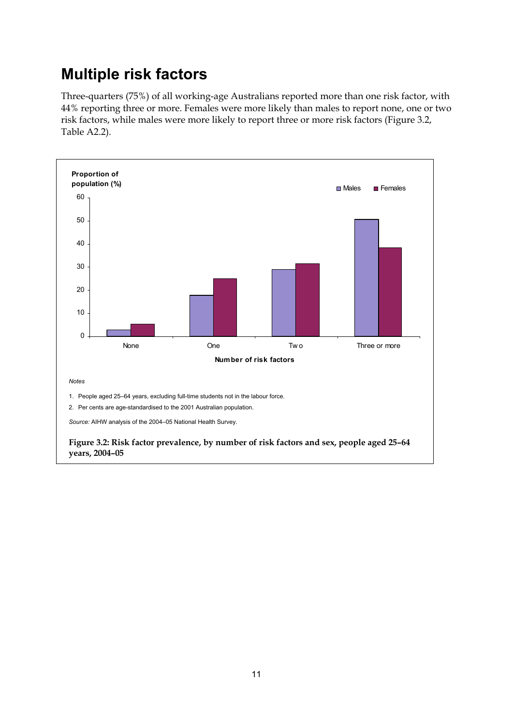## <span id="page-16-0"></span>**Multiple risk factors**

Three-quarters (75%) of all working-age Australians reported more than one risk factor, with 44% reporting three or more. Females were more likely than males to report none, one or two risk factors, while males were more likely to report three or more risk factors (Figure 3.2, Table A2.2).



**years, 2004–05**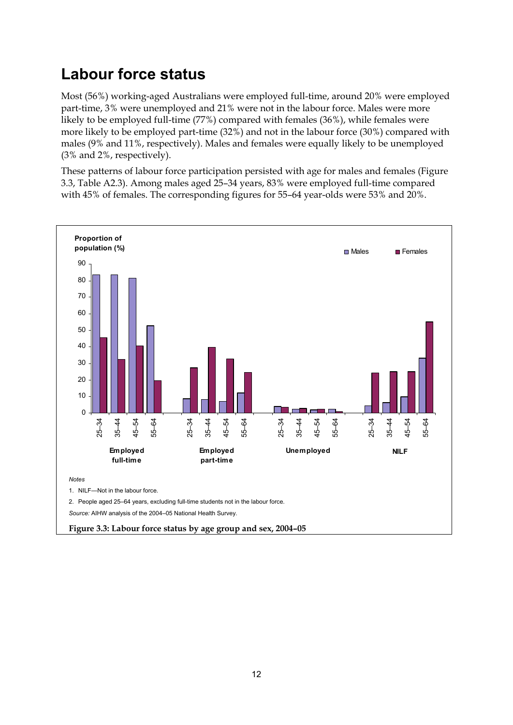## <span id="page-17-0"></span>**Labour force status**

Most (56%) working-aged Australians were employed full-time, around 20% were employed part-time, 3% were unemployed and 21% were not in the labour force. Males were more likely to be employed full-time (77%) compared with females (36%), while females were more likely to be employed part-time (32%) and not in the labour force (30%) compared with males (9% and 11%, respectively). Males and females were equally likely to be unemployed (3% and 2%, respectively).

These patterns of labour force participation persisted with age for males and females (Figure 3.3, Table A2.3). Among males aged 25–34 years, 83% were employed full-time compared with 45% of females. The corresponding figures for 55–64 year-olds were 53% and 20%.

![](_page_17_Figure_3.jpeg)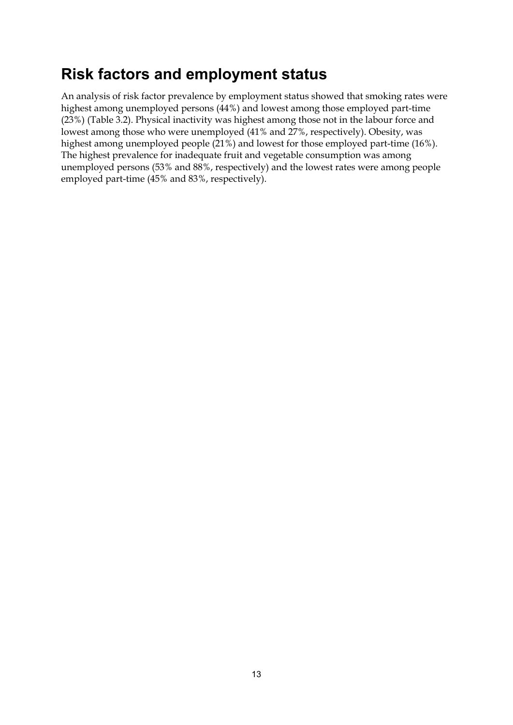## <span id="page-18-0"></span>**Risk factors and employment status**

An analysis of risk factor prevalence by employment status showed that smoking rates were highest among unemployed persons (44%) and lowest among those employed part-time (23%) (Table 3.2). Physical inactivity was highest among those not in the labour force and lowest among those who were unemployed (41% and 27%, respectively). Obesity, was highest among unemployed people (21%) and lowest for those employed part-time (16%). The highest prevalence for inadequate fruit and vegetable consumption was among unemployed persons (53% and 88%, respectively) and the lowest rates were among people employed part-time (45% and 83%, respectively).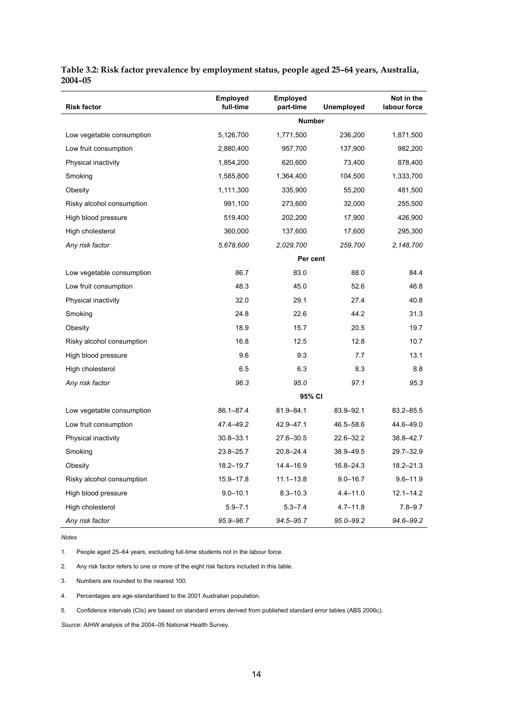| <b>Risk factor</b>        | <b>Employed</b><br>full-time | Employed<br>part-time | Unemployed    | Not in the<br>labour force |
|---------------------------|------------------------------|-----------------------|---------------|----------------------------|
|                           |                              | <b>Number</b>         |               |                            |
| Low vegetable consumption | 5,126,700                    | 1,771,500             | 236,200       | 1,871,500                  |
| Low fruit consumption     | 2,880,400                    | 957,700               | 137,900       | 982,200                    |
| Physical inactivity       | 1,854,200                    | 620,600               | 73,400        | 878,400                    |
| Smoking                   | 1,585,800                    | 1,364,400             | 104,500       | 1,333,700                  |
| Obesity                   | 1,111,300                    | 335,900               | 55,200        | 481,500                    |
| Risky alcohol consumption | 991,100                      | 273,600               | 32,000        | 255,500                    |
| High blood pressure       | 519,400                      | 202,200               | 17,900        | 426,900                    |
| High cholesterol          | 360,000                      | 137,600               | 17,600        | 295,300                    |
| Any risk factor           | 5,678,600                    | 2,029,700             | 259,700       | 2,148,700                  |
|                           |                              | Per cent              |               |                            |
| Low vegetable consumption | 86.7                         | 83.0                  | 88.0          | 84.4                       |
| Low fruit consumption     | 48.3                         | 45.0                  | 52.6          | 46.8                       |
| Physical inactivity       | 32.0                         | 29.1                  | 27.4          | 40.8                       |
| Smoking                   | 24.8                         | 22.6                  | 44.2          | 31.3                       |
| Obesity                   | 18.9                         | 15.7                  | 20.5          | 19.7                       |
| Risky alcohol consumption | 16.8                         | 12.5                  | 12.8          | 10.7                       |
| High blood pressure       | 9.6                          | 9.3                   | 7.7           | 13.1                       |
| High cholesterol          | 6.5                          | 6.3                   | 8.3           | 8.8                        |
| Any risk factor           | 96.3                         | 95.0                  | 97.1          | 95.3                       |
|                           |                              | 95% CI                |               |                            |
| Low vegetable consumption | $86.1 - 87.4$                | 81.9-84.1             | 83.9-92.1     | $83.2 - 85.5$              |
| Low fruit consumption     | 47.4-49.2                    | 42.9-47.1             | 46.5-58.6     | 44.6-49.0                  |
| Physical inactivity       | $30.8 - 33.1$                | $27.6 - 30.5$         | 22.6-32.2     | 38.8-42.7                  |
| Smoking                   | 23.8-25.7                    | $20.8 - 24.4$         | 38.9-49.5     | 29.7-32.9                  |
| Obesity                   | $18.2 - 19.7$                | 14.4-16.9             | $16.8 - 24.3$ | 18.2-21.3                  |
| Risky alcohol consumption | $15.9 - 17.8$                | $11.1 - 13.8$         | $9.0 - 16.7$  | $9.6 - 11.9$               |
| High blood pressure       | $9.0 - 10.1$                 | $8.3 - 10.3$          | $4.4 - 11.0$  | $12.1 - 14.2$              |
| High cholesterol          | $5.9 - 7.1$                  | $5.3 - 7.4$           | $4.7 - 11.8$  | $7.8 - 9.7$                |
| Any risk factor           | 95.9-96.7                    | 94.5-95.7             | 95.0-99.2     | 94.6-99.2                  |

#### **Table 3.2: Risk factor prevalence by employment status, people aged 25–64 years, Australia, 2004–05**

*Notes* 

1. People aged 25–64 years, excluding full-time students not in the labour force.

2. Any risk factor refers to one or more of the eight risk factors included in this table.

3. Numbers are rounded to the nearest 100.

4. Percentages are age-standardised to the 2001 Australian population.

5. Confidence intervals (CIs) are based on standard errors derived from published standard error tables (ABS 2006c).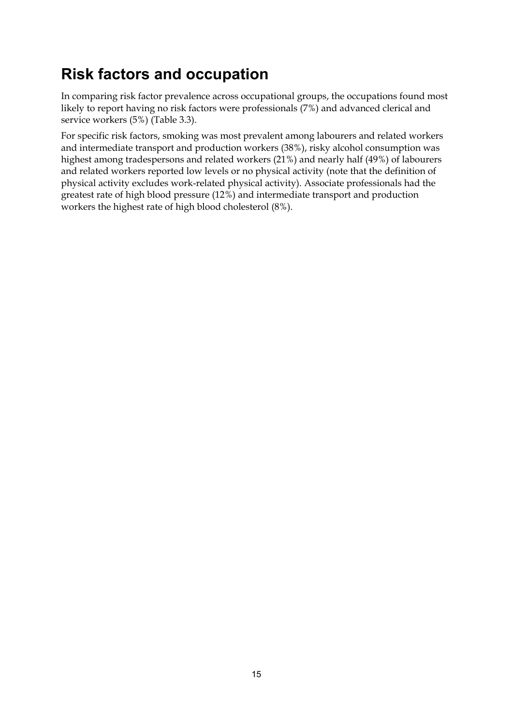## <span id="page-20-0"></span>**Risk factors and occupation**

In comparing risk factor prevalence across occupational groups, the occupations found most likely to report having no risk factors were professionals (7%) and advanced clerical and service workers (5%) (Table 3.3).

For specific risk factors, smoking was most prevalent among labourers and related workers and intermediate transport and production workers (38%), risky alcohol consumption was highest among tradespersons and related workers (21%) and nearly half (49%) of labourers and related workers reported low levels or no physical activity (note that the definition of physical activity excludes work-related physical activity). Associate professionals had the greatest rate of high blood pressure (12%) and intermediate transport and production workers the highest rate of high blood cholesterol (8%).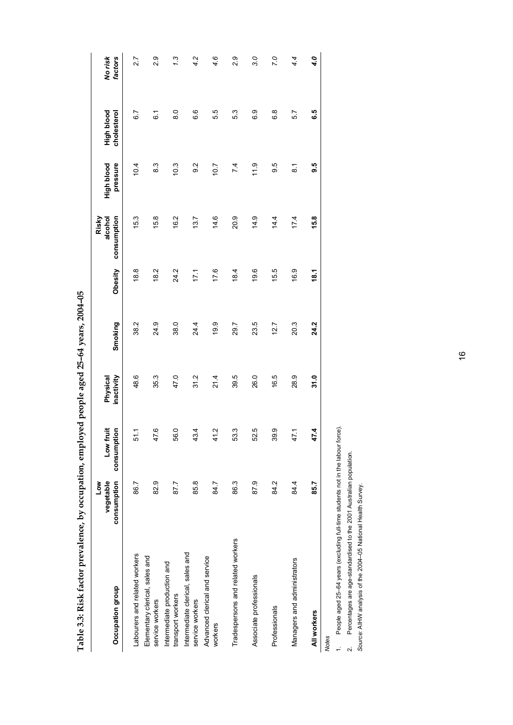**Table 3.3: Risk factor prevalence, by occupation, employed people aged 25–64 years, 2004–05**  Table 3.3: Risk factor prevalence, by occupation, employed people aged 25-64 years, 2004-05

| Occupation group                                    | consumption<br>vegetable<br><b>No7</b> | Low fruit<br>consumption | Physical<br>inactivity | Smoking | Obesity | consumption<br>alcohol<br>Risky | pressure<br>High blood | High blood<br>cholesterol | factors<br>No risk |
|-----------------------------------------------------|----------------------------------------|--------------------------|------------------------|---------|---------|---------------------------------|------------------------|---------------------------|--------------------|
| Labourers and related workers                       | 86.7                                   | ۳<br>5                   | 48.6                   | 38.2    | 18.8    | 15.3                            | 10.4                   | 6.7                       | 2.7                |
| Elementary clerical, sales and<br>service workers   | 82.9                                   | ဖ<br>47.                 | 35.3                   | 24.9    | 18.2    | 15.8                            | 8.3                    | $\overline{6}$ .          | 2.9                |
| Intermediate production and<br>transport workers    | 87.7                                   | 56.0                     | 47.0                   | 38.0    | 24.2    | 16.2                            | 10.3                   | $\frac{0}{8}$             | 1.3                |
| Intermediate clerical, sales and<br>service workers | 85.8                                   | 4<br>43.                 | 31.2                   | 24.4    | 171     | 13.7                            | $\frac{2}{9}$          | 6.6                       | 4.2                |
| Advanced clerical and service<br>workers            | 84.7                                   | Ņ<br>4                   | 21.4                   | 19.9    | 17.6    | 14.6                            | 10.7                   | 5.5                       | 4.6                |
| Tradespersons and related workers                   | 86.3                                   | ო<br>53                  | 39.5                   | 29.7    | 18.4    | 20.9                            | 7.4                    | 53                        | 0.9                |
| Associate professionals                             | 87.9                                   | Ю<br>8                   | 26.0                   | 23.5    | 19.6    | 14.9                            | 11.9                   | 6.9                       | 3.0                |
| Professionals                                       | 84.2                                   | တ္<br>39                 | 16.5                   | 12.7    | 15.5    | 14.4                            | 9.6                    | $\frac{8}{6}$             | 7.0                |
| Managers and administrators                         | 84.4                                   | 47.1                     | 28.9                   | 20.3    | 16.9    | 17.4                            | $\overline{\circ}$     | 57                        | 4.4                |
| All workers                                         | 85.7                                   | 47.4                     | 31.0                   | 24.2    | 18.1    | 15.8                            | 9.5                    | G.5                       | 4.0                |
| <b>Notes</b>                                        |                                        |                          |                        |         |         |                                 |                        |                           |                    |

People aged 25-64 years (excluding full-time students not in the labour force). 1. People aged 25–64 years (excluding full-time students not in the labour force).  $\ddot{ }$ 

Percentages are age-standardised to the 2001 Australian population. 2. Percentages are age-standardised to the 2001 Australian population.  $\sim$ 

Source: AIHW analysis of the 2004-05 National Health Survey. *Source:* AIHW analysis of the 2004–05 National Health Survey.

16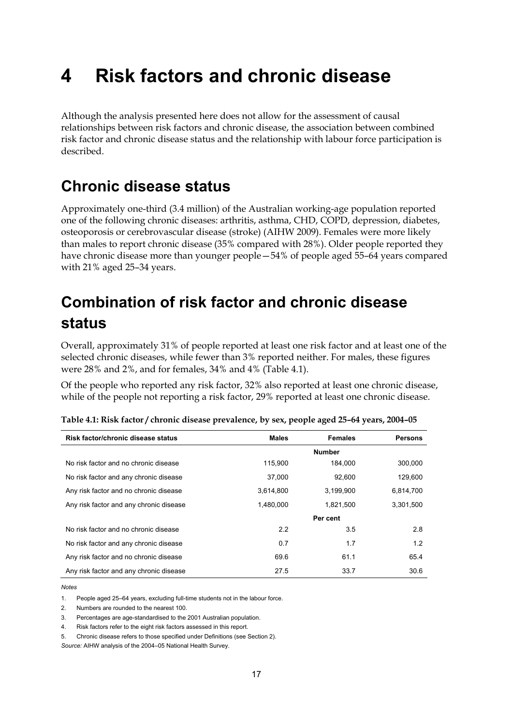# <span id="page-22-0"></span>**4 Risk factors and chronic disease**

Although the analysis presented here does not allow for the assessment of causal relationships between risk factors and chronic disease, the association between combined risk factor and chronic disease status and the relationship with labour force participation is described.

## <span id="page-22-1"></span>**Chronic disease status**

Approximately one-third (3.4 million) of the Australian working-age population reported one of the following chronic diseases: arthritis, asthma, CHD, COPD, depression, diabetes, osteoporosis or cerebrovascular disease (stroke) (AIHW 2009). Females were more likely than males to report chronic disease (35% compared with 28%). Older people reported they have chronic disease more than younger people—54% of people aged 55–64 years compared with 21% aged 25–34 years.

## <span id="page-22-2"></span>**Combination of risk factor and chronic disease status**

Overall, approximately 31% of people reported at least one risk factor and at least one of the selected chronic diseases, while fewer than 3% reported neither. For males, these figures were 28% and 2%, and for females, 34% and 4% (Table 4.1).

Of the people who reported any risk factor, 32% also reported at least one chronic disease, while of the people not reporting a risk factor, 29% reported at least one chronic disease.

| Risk factor/chronic disease status      | <b>Males</b> | <b>Females</b> | <b>Persons</b> |
|-----------------------------------------|--------------|----------------|----------------|
|                                         |              | <b>Number</b>  |                |
| No risk factor and no chronic disease   | 115.900      | 184.000        | 300,000        |
| No risk factor and any chronic disease  | 37.000       | 92.600         | 129.600        |
| Any risk factor and no chronic disease  | 3.614.800    | 3,199,900      | 6,814,700      |
| Any risk factor and any chronic disease | 1.480.000    | 1.821.500      | 3.301.500      |
|                                         |              | Per cent       |                |
| No risk factor and no chronic disease   | 2.2          | 3.5            | 2.8            |
| No risk factor and any chronic disease  | 0.7          | 1.7            | 1.2            |
| Any risk factor and no chronic disease  | 69.6         | 61.1           | 65.4           |
| Any risk factor and any chronic disease | 27.5         | 33.7           | 30.6           |

*Notes* 

1. People aged 25–64 years, excluding full-time students not in the labour force.

2. Numbers are rounded to the nearest 100.

3. Percentages are age-standardised to the 2001 Australian population.

4. Risk factors refer to the eight risk factors assessed in this report.

5. Chronic disease refers to those specified under Definitions (see Section 2).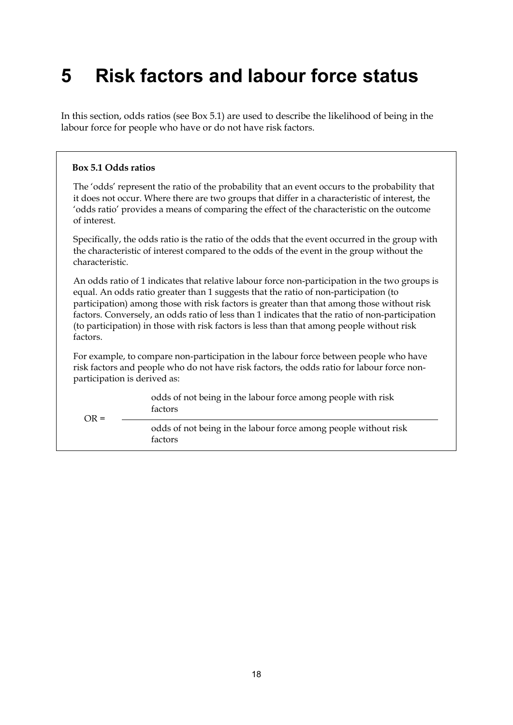# <span id="page-23-0"></span>**5 Risk factors and labour force status**

In this section, odds ratios (see Box 5.1) are used to describe the likelihood of being in the labour force for people who have or do not have risk factors.

#### **Box 5.1 Odds ratios**

 $OR =$ 

The 'odds' represent the ratio of the probability that an event occurs to the probability that it does not occur. Where there are two groups that differ in a characteristic of interest, the 'odds ratio' provides a means of comparing the effect of the characteristic on the outcome of interest.

Specifically, the odds ratio is the ratio of the odds that the event occurred in the group with the characteristic of interest compared to the odds of the event in the group without the characteristic.

An odds ratio of 1 indicates that relative labour force non-participation in the two groups is equal. An odds ratio greater than 1 suggests that the ratio of non-participation (to participation) among those with risk factors is greater than that among those without risk factors. Conversely, an odds ratio of less than 1 indicates that the ratio of non-participation (to participation) in those with risk factors is less than that among people without risk factors.

For example, to compare non-participation in the labour force between people who have risk factors and people who do not have risk factors, the odds ratio for labour force nonparticipation is derived as:

> odds of not being in the labour force among people with risk factors

odds of not being in the labour force among people without risk factors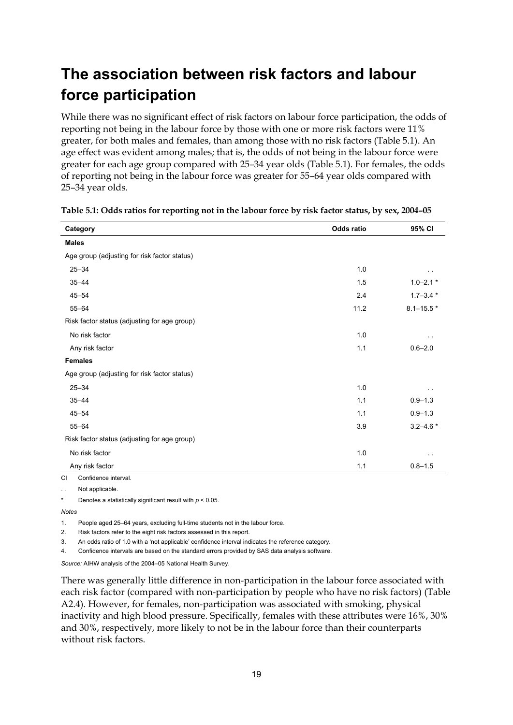## <span id="page-24-0"></span>**The association between risk factors and labour force participation**

While there was no significant effect of risk factors on labour force participation, the odds of reporting not being in the labour force by those with one or more risk factors were 11% greater, for both males and females, than among those with no risk factors (Table 5.1). An age effect was evident among males; that is, the odds of not being in the labour force were greater for each age group compared with 25–34 year olds (Table 5.1). For females, the odds of reporting not being in the labour force was greater for 55–64 year olds compared with 25–34 year olds.

| Category                                     | <b>Odds ratio</b> | 95% CI        |
|----------------------------------------------|-------------------|---------------|
| <b>Males</b>                                 |                   |               |
| Age group (adjusting for risk factor status) |                   |               |
| $25 - 34$                                    | 1.0               |               |
| $35 - 44$                                    | 1.5               | $1.0 - 2.1*$  |
| $45 - 54$                                    | 2.4               | $1.7 - 3.4*$  |
| $55 - 64$                                    | 11.2              | $8.1 - 15.5*$ |
| Risk factor status (adjusting for age group) |                   |               |
| No risk factor                               | 1.0               |               |
| Any risk factor                              | 1.1               | $0.6 - 2.0$   |
| <b>Females</b>                               |                   |               |
| Age group (adjusting for risk factor status) |                   |               |
| $25 - 34$                                    | 1.0               |               |
| $35 - 44$                                    | 1.1               | $0.9 - 1.3$   |
| $45 - 54$                                    | 1.1               | $0.9 - 1.3$   |
| $55 - 64$                                    | 3.9               | $3.2 - 4.6*$  |
| Risk factor status (adjusting for age group) |                   |               |
| No risk factor                               | 1.0               |               |
| Any risk factor                              | 1.1               | $0.8 - 1.5$   |
| CL Confidence interval                       |                   |               |

**Table 5.1: Odds ratios for reporting not in the labour force by risk factor status, by sex, 2004–05** 

CI Confidence interval.

Not applicable

Denotes a statistically significant result with  $p < 0.05$ .

*Notes*

1. People aged 25–64 years, excluding full-time students not in the labour force.

2. Risk factors refer to the eight risk factors assessed in this report.

3. An odds ratio of 1.0 with a 'not applicable' confidence interval indicates the reference category.

4. Confidence intervals are based on the standard errors provided by SAS data analysis software.

*Source:* AIHW analysis of the 2004–05 National Health Survey.

There was generally little difference in non-participation in the labour force associated with each risk factor (compared with non-participation by people who have no risk factors) (Table A2.4). However, for females, non-participation was associated with smoking, physical inactivity and high blood pressure. Specifically, females with these attributes were 16%, 30% and 30%, respectively, more likely to not be in the labour force than their counterparts without risk factors.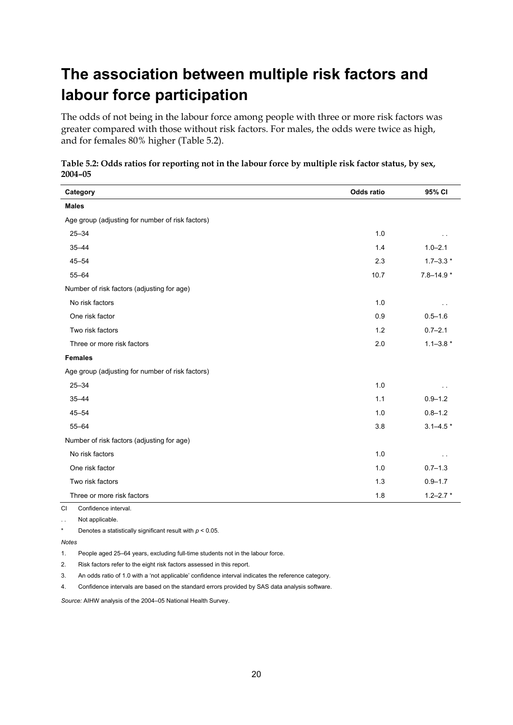## <span id="page-25-0"></span>**The association between multiple risk factors and labour force participation**

The odds of not being in the labour force among people with three or more risk factors was greater compared with those without risk factors. For males, the odds were twice as high, and for females 80% higher (Table 5.2).

| Category                                         | <b>Odds ratio</b> | 95% CI        |
|--------------------------------------------------|-------------------|---------------|
| <b>Males</b>                                     |                   |               |
| Age group (adjusting for number of risk factors) |                   |               |
| $25 - 34$                                        | 1.0               |               |
| $35 - 44$                                        | 1.4               | $1.0 - 2.1$   |
| $45 - 54$                                        | 2.3               | $1.7 - 3.3*$  |
| $55 - 64$                                        | 10.7              | $7.8 - 14.9*$ |
| Number of risk factors (adjusting for age)       |                   |               |
| No risk factors                                  | 1.0               |               |
| One risk factor                                  | 0.9               | $0.5 - 1.6$   |
| Two risk factors                                 | 1.2               | $0.7 - 2.1$   |
| Three or more risk factors                       | 2.0               | $1.1 - 3.8*$  |
| <b>Females</b>                                   |                   |               |
| Age group (adjusting for number of risk factors) |                   |               |
| $25 - 34$                                        | 1.0               |               |
| $35 - 44$                                        | 1.1               | $0.9 - 1.2$   |
| $45 - 54$                                        | 1.0               | $0.8 - 1.2$   |
| $55 - 64$                                        | 3.8               | $3.1 - 4.5*$  |
| Number of risk factors (adjusting for age)       |                   |               |
| No risk factors                                  | 1.0               |               |
| One risk factor                                  | 1.0               | $0.7 - 1.3$   |
| Two risk factors                                 | 1.3               | $0.9 - 1.7$   |
| Three or more risk factors                       | 1.8               | $1.2 - 2.7$ * |
| Confidence interval.<br>CI.                      |                   |               |

**Table 5.2: Odds ratios for reporting not in the labour force by multiple risk factor status, by sex, 2004–05** 

. . Not applicable.

\* Denotes a statistically significant result with *p* < 0.05.

*Notes*

1. People aged 25–64 years, excluding full-time students not in the labour force.

2. Risk factors refer to the eight risk factors assessed in this report.

3. An odds ratio of 1.0 with a 'not applicable' confidence interval indicates the reference category.

4. Confidence intervals are based on the standard errors provided by SAS data analysis software.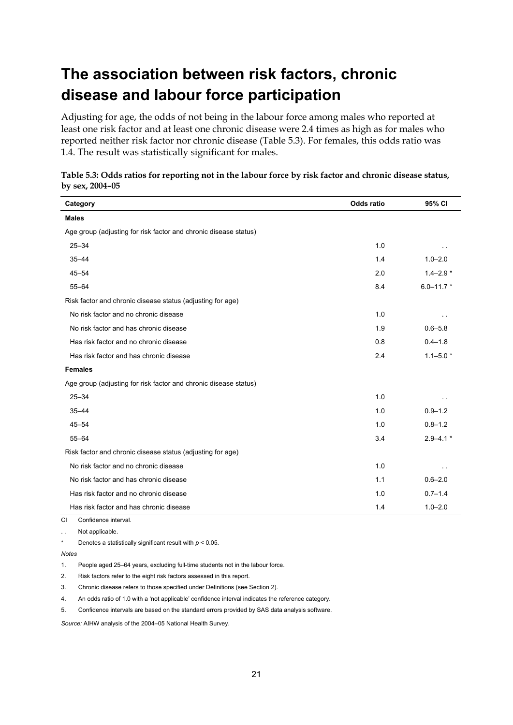## <span id="page-26-0"></span>**The association between risk factors, chronic disease and labour force participation**

Adjusting for age, the odds of not being in the labour force among males who reported at least one risk factor and at least one chronic disease were 2.4 times as high as for males who reported neither risk factor nor chronic disease (Table 5.3). For females, this odds ratio was 1.4. The result was statistically significant for males.

| Category                                                         | <b>Odds ratio</b> | 95% CI         |
|------------------------------------------------------------------|-------------------|----------------|
| <b>Males</b>                                                     |                   |                |
| Age group (adjusting for risk factor and chronic disease status) |                   |                |
| $25 - 34$                                                        | 1.0               |                |
| $35 - 44$                                                        | 1.4               | $1.0 - 2.0$    |
| $45 - 54$                                                        | 2.0               | $1.4 - 2.9*$   |
| $55 - 64$                                                        | 8.4               | $6.0 - 11.7$ * |
| Risk factor and chronic disease status (adjusting for age)       |                   |                |
| No risk factor and no chronic disease                            | 1.0               |                |
| No risk factor and has chronic disease                           | 1.9               | $0.6 - 5.8$    |
| Has risk factor and no chronic disease                           | 0.8               | $0.4 - 1.8$    |
| Has risk factor and has chronic disease                          | 2.4               | $1.1 - 5.0*$   |
| <b>Females</b>                                                   |                   |                |
| Age group (adjusting for risk factor and chronic disease status) |                   |                |
| $25 - 34$                                                        | 1.0               |                |
| $35 - 44$                                                        | 1.0               | $0.9 - 1.2$    |
| $45 - 54$                                                        | 1.0               | $0.8 - 1.2$    |
| $55 - 64$                                                        | 3.4               | $2.9 - 4.1*$   |
| Risk factor and chronic disease status (adjusting for age)       |                   |                |
| No risk factor and no chronic disease                            | 1.0               |                |
| No risk factor and has chronic disease                           | 1.1               | $0.6 - 2.0$    |
| Has risk factor and no chronic disease                           | 1.0               | $0.7 - 1.4$    |
| Has risk factor and has chronic disease                          | 1.4               | $1.0 - 2.0$    |

| Table 5.3: Odds ratios for reporting not in the labour force by risk factor and chronic disease status, |  |
|---------------------------------------------------------------------------------------------------------|--|
| by sex, 2004-05                                                                                         |  |

CI Confidence interval.

. . Not applicable.

Denotes a statistically significant result with  $p < 0.05$ .

*Notes*

1. People aged 25–64 years, excluding full-time students not in the labour force.

2. Risk factors refer to the eight risk factors assessed in this report.

3. Chronic disease refers to those specified under Definitions (see Section 2).

4. An odds ratio of 1.0 with a 'not applicable' confidence interval indicates the reference category.

5. Confidence intervals are based on the standard errors provided by SAS data analysis software.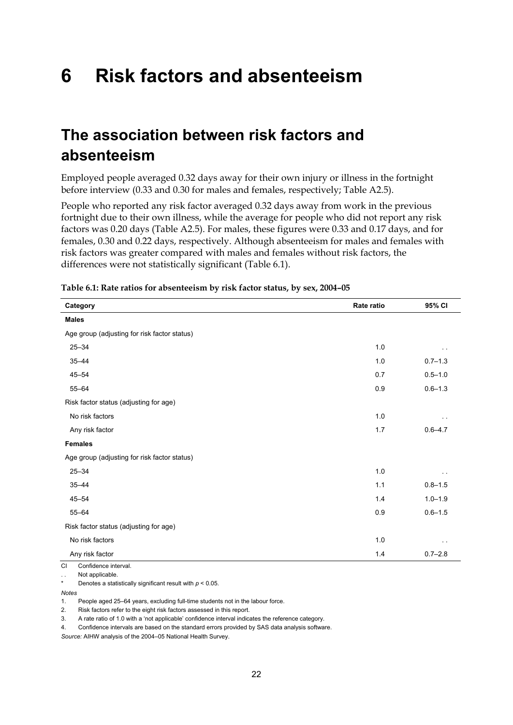# <span id="page-27-0"></span>**6 Risk factors and absenteeism**

## <span id="page-27-1"></span>**The association between risk factors and absenteeism**

Employed people averaged 0.32 days away for their own injury or illness in the fortnight before interview (0.33 and 0.30 for males and females, respectively; Table A2.5).

People who reported any risk factor averaged 0.32 days away from work in the previous fortnight due to their own illness, while the average for people who did not report any risk factors was 0.20 days (Table A2.5). For males, these figures were 0.33 and 0.17 days, and for females, 0.30 and 0.22 days, respectively. Although absenteeism for males and females with risk factors was greater compared with males and females without risk factors, the differences were not statistically significant (Table 6.1).

| Category                                     | Rate ratio | 95% CI      |
|----------------------------------------------|------------|-------------|
| <b>Males</b>                                 |            |             |
| Age group (adjusting for risk factor status) |            |             |
| $25 - 34$                                    | 1.0        |             |
| $35 - 44$                                    | 1.0        | $0.7 - 1.3$ |
| $45 - 54$                                    | 0.7        | $0.5 - 1.0$ |
| $55 - 64$                                    | 0.9        | $0.6 - 1.3$ |
| Risk factor status (adjusting for age)       |            |             |
| No risk factors                              | 1.0        |             |
| Any risk factor                              | 1.7        | $0.6 - 4.7$ |
| <b>Females</b>                               |            |             |
| Age group (adjusting for risk factor status) |            |             |
| $25 - 34$                                    | 1.0        |             |
| $35 - 44$                                    | 1.1        | $0.8 - 1.5$ |
| $45 - 54$                                    | 1.4        | $1.0 - 1.9$ |
| $55 - 64$                                    | 0.9        | $0.6 - 1.5$ |
| Risk factor status (adjusting for age)       |            |             |
| No risk factors                              | 1.0        |             |
| Any risk factor                              | 1.4        | $0.7 - 2.8$ |

**Table 6.1: Rate ratios for absenteeism by risk factor status, by sex, 2004–05** 

CI Confidence interval.

.. Not applicable

Denotes a statistically significant result with  $p < 0.05$ .

*Notes*

1. People aged 25–64 years, excluding full-time students not in the labour force.

2. Risk factors refer to the eight risk factors assessed in this report.

3. A rate ratio of 1.0 with a 'not applicable' confidence interval indicates the reference category.

4. Confidence intervals are based on the standard errors provided by SAS data analysis software.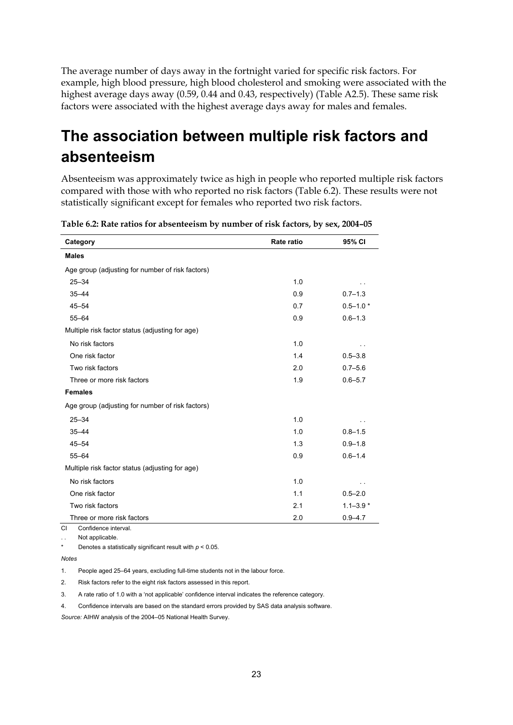The average number of days away in the fortnight varied for specific risk factors. For example, high blood pressure, high blood cholesterol and smoking were associated with the highest average days away (0.59, 0.44 and 0.43, respectively) (Table A2.5). These same risk factors were associated with the highest average days away for males and females.

## <span id="page-28-0"></span>**The association between multiple risk factors and absenteeism**

Absenteeism was approximately twice as high in people who reported multiple risk factors compared with those with who reported no risk factors (Table 6.2). These results were not statistically significant except for females who reported two risk factors.

| Category                                         | Rate ratio | 95% CI       |
|--------------------------------------------------|------------|--------------|
| <b>Males</b>                                     |            |              |
| Age group (adjusting for number of risk factors) |            |              |
| $25 - 34$                                        | 1.0        |              |
| $35 - 44$                                        | 0.9        | $0.7 - 1.3$  |
| $45 - 54$                                        | 0.7        | $0.5 - 1.0*$ |
| $55 - 64$                                        | 0.9        | $0.6 - 1.3$  |
| Multiple risk factor status (adjusting for age)  |            |              |
| No risk factors                                  | 1.0        |              |
| One risk factor                                  | 1.4        | $0.5 - 3.8$  |
| Two risk factors                                 | 2.0        | $0.7 - 5.6$  |
| Three or more risk factors                       | 1.9        | $0.6 - 5.7$  |
| <b>Females</b>                                   |            |              |
| Age group (adjusting for number of risk factors) |            |              |
| $25 - 34$                                        | 1.0        |              |
| $35 - 44$                                        | 1.0        | $0.8 - 1.5$  |
| $45 - 54$                                        | 1.3        | $0.9 - 1.8$  |
| $55 - 64$                                        | 0.9        | $0.6 - 1.4$  |
| Multiple risk factor status (adjusting for age)  |            |              |
| No risk factors                                  | 1.0        |              |
| One risk factor                                  | 1.1        | $0.5 - 2.0$  |
| Two risk factors                                 | 2.1        | $1.1 - 3.9*$ |
| Three or more risk factors                       | 2.0        | $0.9 - 4.7$  |

**Table 6.2: Rate ratios for absenteeism by number of risk factors, by sex, 2004–05** 

CI Confidence interval. Not applicable

Denotes a statistically significant result with  $p < 0.05$ .

*Notes*

1. People aged 25–64 years, excluding full-time students not in the labour force.

2. Risk factors refer to the eight risk factors assessed in this report.

3. A rate ratio of 1.0 with a 'not applicable' confidence interval indicates the reference category.

4. Confidence intervals are based on the standard errors provided by SAS data analysis software.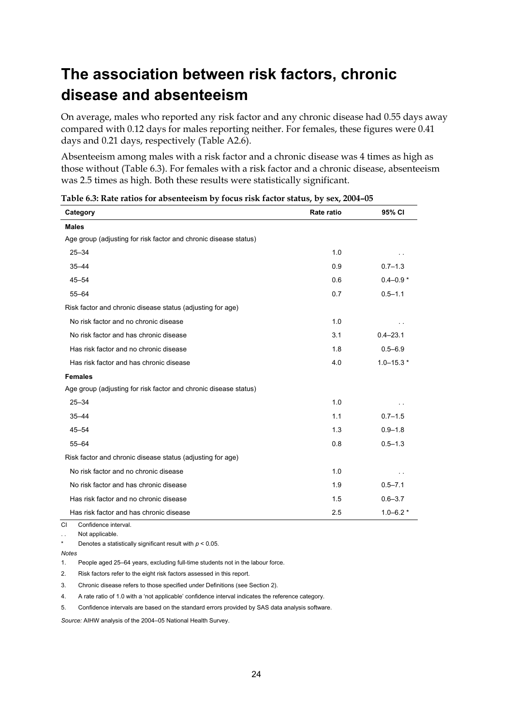## <span id="page-29-0"></span>**The association between risk factors, chronic disease and absenteeism**

On average, males who reported any risk factor and any chronic disease had 0.55 days away compared with 0.12 days for males reporting neither. For females, these figures were 0.41 days and 0.21 days, respectively (Table A2.6).

Absenteeism among males with a risk factor and a chronic disease was 4 times as high as those without (Table 6.3). For females with a risk factor and a chronic disease, absenteeism was 2.5 times as high. Both these results were statistically significant.

| Category                                                         | Rate ratio | 95% CI        |
|------------------------------------------------------------------|------------|---------------|
| <b>Males</b>                                                     |            |               |
| Age group (adjusting for risk factor and chronic disease status) |            |               |
| $25 - 34$                                                        | 1.0        |               |
| $35 - 44$                                                        | 0.9        | $0.7 - 1.3$   |
| $45 - 54$                                                        | 0.6        | $0.4 - 0.9*$  |
| $55 - 64$                                                        | 0.7        | $0.5 - 1.1$   |
| Risk factor and chronic disease status (adjusting for age)       |            |               |
| No risk factor and no chronic disease                            | 1.0        |               |
| No risk factor and has chronic disease                           | 3.1        | $0.4 - 23.1$  |
| Has risk factor and no chronic disease                           | 1.8        | $0.5 - 6.9$   |
| Has risk factor and has chronic disease                          | 4.0        | $1.0 - 15.3*$ |
| <b>Females</b>                                                   |            |               |
| Age group (adjusting for risk factor and chronic disease status) |            |               |
| $25 - 34$                                                        | 1.0        |               |
| $35 - 44$                                                        | 1.1        | $0.7 - 1.5$   |
| $45 - 54$                                                        | 1.3        | $0.9 - 1.8$   |
| $55 - 64$                                                        | 0.8        | $0.5 - 1.3$   |
| Risk factor and chronic disease status (adjusting for age)       |            |               |
| No risk factor and no chronic disease                            | 1.0        |               |
| No risk factor and has chronic disease                           | 1.9        | $0.5 - 7.1$   |
| Has risk factor and no chronic disease                           | 1.5        | $0.6 - 3.7$   |
| Has risk factor and has chronic disease                          | 2.5        | $1.0 - 6.2*$  |
| CI<br>Confidence interval.                                       |            |               |

| Table 6.3: Rate ratios for absenteeism by focus risk factor status, by sex, 2004-05 |
|-------------------------------------------------------------------------------------|
|-------------------------------------------------------------------------------------|

. . Not applicable.

Denotes a statistically significant result with  $p < 0.05$ .

*Notes*

1. People aged 25–64 years, excluding full-time students not in the labour force.

2. Risk factors refer to the eight risk factors assessed in this report.

3. Chronic disease refers to those specified under Definitions (see Section 2).

4. A rate ratio of 1.0 with a 'not applicable' confidence interval indicates the reference category.

5. Confidence intervals are based on the standard errors provided by SAS data analysis software.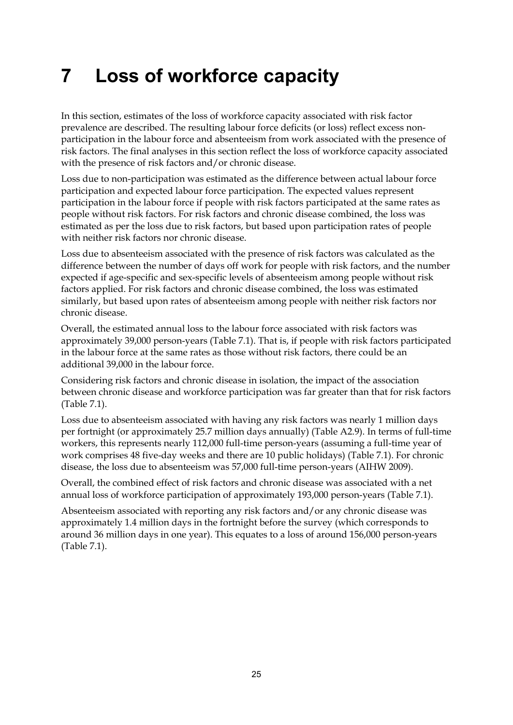# <span id="page-30-0"></span>**7 Loss of workforce capacity**

In this section, estimates of the loss of workforce capacity associated with risk factor prevalence are described. The resulting labour force deficits (or loss) reflect excess nonparticipation in the labour force and absenteeism from work associated with the presence of risk factors. The final analyses in this section reflect the loss of workforce capacity associated with the presence of risk factors and/or chronic disease.

Loss due to non-participation was estimated as the difference between actual labour force participation and expected labour force participation. The expected values represent participation in the labour force if people with risk factors participated at the same rates as people without risk factors. For risk factors and chronic disease combined, the loss was estimated as per the loss due to risk factors, but based upon participation rates of people with neither risk factors nor chronic disease.

Loss due to absenteeism associated with the presence of risk factors was calculated as the difference between the number of days off work for people with risk factors, and the number expected if age-specific and sex-specific levels of absenteeism among people without risk factors applied. For risk factors and chronic disease combined, the loss was estimated similarly, but based upon rates of absenteeism among people with neither risk factors nor chronic disease.

Overall, the estimated annual loss to the labour force associated with risk factors was approximately 39,000 person-years (Table 7.1). That is, if people with risk factors participated in the labour force at the same rates as those without risk factors, there could be an additional 39,000 in the labour force.

Considering risk factors and chronic disease in isolation, the impact of the association between chronic disease and workforce participation was far greater than that for risk factors (Table 7.1).

Loss due to absenteeism associated with having any risk factors was nearly 1 million days per fortnight (or approximately 25.7 million days annually) (Table A2.9). In terms of full-time workers, this represents nearly 112,000 full-time person-years (assuming a full-time year of work comprises 48 five-day weeks and there are 10 public holidays) (Table 7.1). For chronic disease, the loss due to absenteeism was 57,000 full-time person-years (AIHW 2009).

Overall, the combined effect of risk factors and chronic disease was associated with a net annual loss of workforce participation of approximately 193,000 person-years (Table 7.1).

Absenteeism associated with reporting any risk factors and/or any chronic disease was approximately 1.4 million days in the fortnight before the survey (which corresponds to around 36 million days in one year). This equates to a loss of around 156,000 person-years (Table 7.1).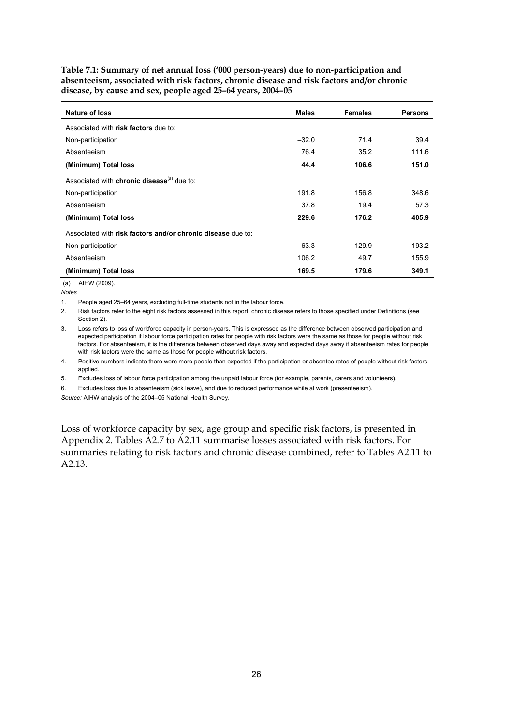**Table 7.1: Summary of net annual loss ('000 person-years) due to non-participation and absenteeism, associated with risk factors, chronic disease and risk factors and/or chronic disease, by cause and sex, people aged 25–64 years, 2004–05** 

| Nature of loss                                                | <b>Males</b> | <b>Females</b> | <b>Persons</b> |
|---------------------------------------------------------------|--------------|----------------|----------------|
| Associated with risk factors due to:                          |              |                |                |
| Non-participation                                             | $-32.0$      | 71.4           | 39.4           |
| Absenteeism                                                   | 76.4         | 35.2           | 111.6          |
| (Minimum) Total loss                                          | 44.4         | 106.6          | 151.0          |
| Associated with <b>chronic disease</b> <sup>(a)</sup> due to: |              |                |                |
| Non-participation                                             | 191.8        | 156.8          | 348.6          |
| Absenteeism                                                   | 37.8         | 19.4           | 57.3           |
| (Minimum) Total loss                                          | 229.6        | 176.2          | 405.9          |
| Associated with risk factors and/or chronic disease due to:   |              |                |                |
| Non-participation                                             | 63.3         | 129.9          | 193.2          |
| Absenteeism                                                   | 106.2        | 49.7           | 155.9          |
| (Minimum) Total loss                                          | 169.5        | 179.6          | 349.1          |

(a) AIHW (2009).

*Notes* 

1. People aged 25–64 years, excluding full-time students not in the labour force.

2. Risk factors refer to the eight risk factors assessed in this report; chronic disease refers to those specified under Definitions (see Section 2).

3. Loss refers to loss of workforce capacity in person-years. This is expressed as the difference between observed participation and expected participation if labour force participation rates for people with risk factors were the same as those for people without risk factors. For absenteeism, it is the difference between observed days away and expected days away if absenteeism rates for people with risk factors were the same as those for people without risk factors.

4. Positive numbers indicate there were more people than expected if the participation or absentee rates of people without risk factors applied.

5. Excludes loss of labour force participation among the unpaid labour force (for example, parents, carers and volunteers).

6. Excludes loss due to absenteeism (sick leave), and due to reduced performance while at work (presenteeism).

*Source:* AIHW analysis of the 2004–05 National Health Survey.

Loss of workforce capacity by sex, age group and specific risk factors, is presented in Appendix 2. Tables A2.7 to A2.11 summarise losses associated with risk factors. For summaries relating to risk factors and chronic disease combined, refer to Tables A2.11 to A2.13.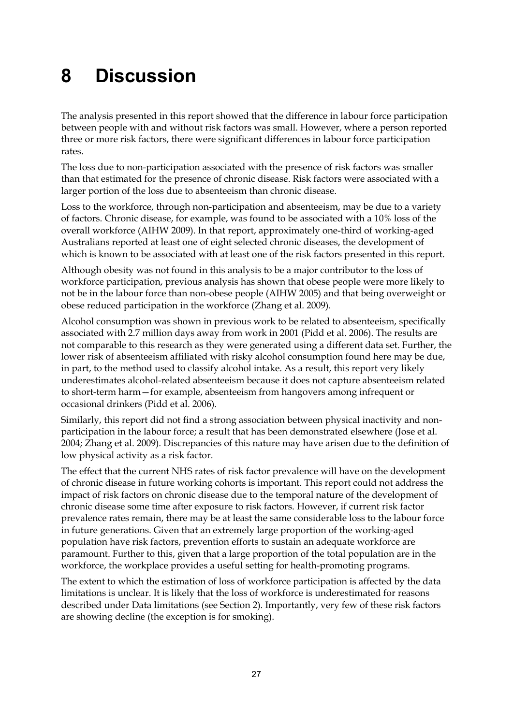# <span id="page-32-0"></span>**8 Discussion**

The analysis presented in this report showed that the difference in labour force participation between people with and without risk factors was small. However, where a person reported three or more risk factors, there were significant differences in labour force participation rates.

The loss due to non-participation associated with the presence of risk factors was smaller than that estimated for the presence of chronic disease. Risk factors were associated with a larger portion of the loss due to absenteeism than chronic disease.

Loss to the workforce, through non-participation and absenteeism, may be due to a variety of factors. Chronic disease, for example, was found to be associated with a 10% loss of the overall workforce (AIHW 2009). In that report, approximately one-third of working-aged Australians reported at least one of eight selected chronic diseases, the development of which is known to be associated with at least one of the risk factors presented in this report.

Although obesity was not found in this analysis to be a major contributor to the loss of workforce participation, previous analysis has shown that obese people were more likely to not be in the labour force than non-obese people (AIHW 2005) and that being overweight or obese reduced participation in the workforce (Zhang et al. 2009).

Alcohol consumption was shown in previous work to be related to absenteeism, specifically associated with 2.7 million days away from work in 2001 (Pidd et al. 2006). The results are not comparable to this research as they were generated using a different data set. Further, the lower risk of absenteeism affiliated with risky alcohol consumption found here may be due, in part, to the method used to classify alcohol intake. As a result, this report very likely underestimates alcohol-related absenteeism because it does not capture absenteeism related to short-term harm—for example, absenteeism from hangovers among infrequent or occasional drinkers (Pidd et al. 2006).

Similarly, this report did not find a strong association between physical inactivity and nonparticipation in the labour force; a result that has been demonstrated elsewhere (Jose et al. 2004; Zhang et al. 2009). Discrepancies of this nature may have arisen due to the definition of low physical activity as a risk factor.

The effect that the current NHS rates of risk factor prevalence will have on the development of chronic disease in future working cohorts is important. This report could not address the impact of risk factors on chronic disease due to the temporal nature of the development of chronic disease some time after exposure to risk factors. However, if current risk factor prevalence rates remain, there may be at least the same considerable loss to the labour force in future generations. Given that an extremely large proportion of the working-aged population have risk factors, prevention efforts to sustain an adequate workforce are paramount. Further to this, given that a large proportion of the total population are in the workforce, the workplace provides a useful setting for health-promoting programs.

The extent to which the estimation of loss of workforce participation is affected by the data limitations is unclear. It is likely that the loss of workforce is underestimated for reasons described under Data limitations (see Section 2). Importantly, very few of these risk factors are showing decline (the exception is for smoking).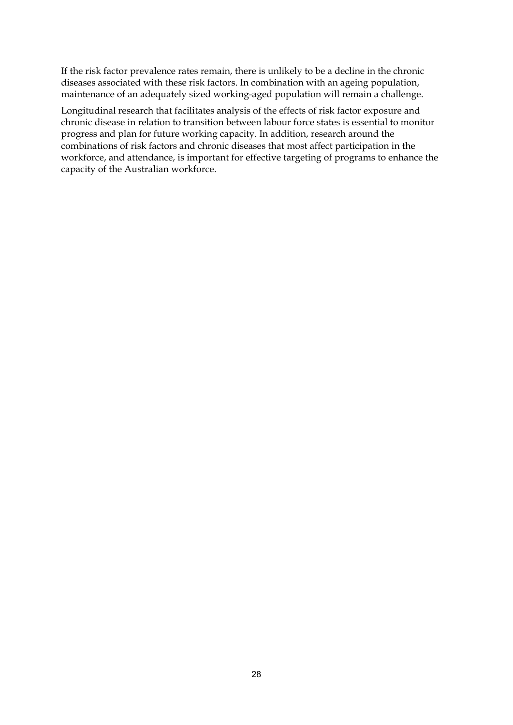If the risk factor prevalence rates remain, there is unlikely to be a decline in the chronic diseases associated with these risk factors. In combination with an ageing population, maintenance of an adequately sized working-aged population will remain a challenge.

Longitudinal research that facilitates analysis of the effects of risk factor exposure and chronic disease in relation to transition between labour force states is essential to monitor progress and plan for future working capacity. In addition, research around the combinations of risk factors and chronic diseases that most affect participation in the workforce, and attendance, is important for effective targeting of programs to enhance the capacity of the Australian workforce.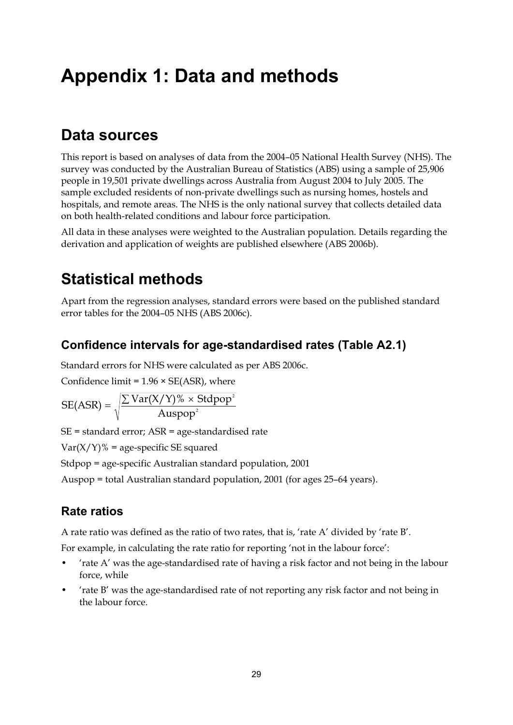# <span id="page-34-0"></span>**Appendix 1: Data and methods**

## <span id="page-34-1"></span>**Data sources**

This report is based on analyses of data from the 2004–05 National Health Survey (NHS). The survey was conducted by the Australian Bureau of Statistics (ABS) using a sample of 25,906 people in 19,501 private dwellings across Australia from August 2004 to July 2005. The sample excluded residents of non-private dwellings such as nursing homes, hostels and hospitals, and remote areas. The NHS is the only national survey that collects detailed data on both health-related conditions and labour force participation.

All data in these analyses were weighted to the Australian population. Details regarding the derivation and application of weights are published elsewhere (ABS 2006b).

## <span id="page-34-2"></span>**Statistical methods**

Apart from the regression analyses, standard errors were based on the published standard error tables for the 2004–05 NHS (ABS 2006c).

### **Confidence intervals for age-standardised rates (Table A2.1)**

2

Standard errors for NHS were calculated as per ABS 2006c.

Confidence limit =  $1.96 \times SE(ASR)$ , where

$$
SE(ASR) = \sqrt{\frac{\sum Var(X/Y)\% \times Stdpop}{Augpop^2}}
$$

SE = standard error; ASR = age-standardised rate

 $Var(X/Y)\%$  = age-specific SE squared

Stdpop = age-specific Australian standard population, 2001

Auspop = total Australian standard population, 2001 (for ages 25–64 years).

### **Rate ratios**

A rate ratio was defined as the ratio of two rates, that is, 'rate A' divided by 'rate B'.

For example, in calculating the rate ratio for reporting 'not in the labour force':

- 'rate A' was the age-standardised rate of having a risk factor and not being in the labour force, while
- 'rate B' was the age-standardised rate of not reporting any risk factor and not being in the labour force.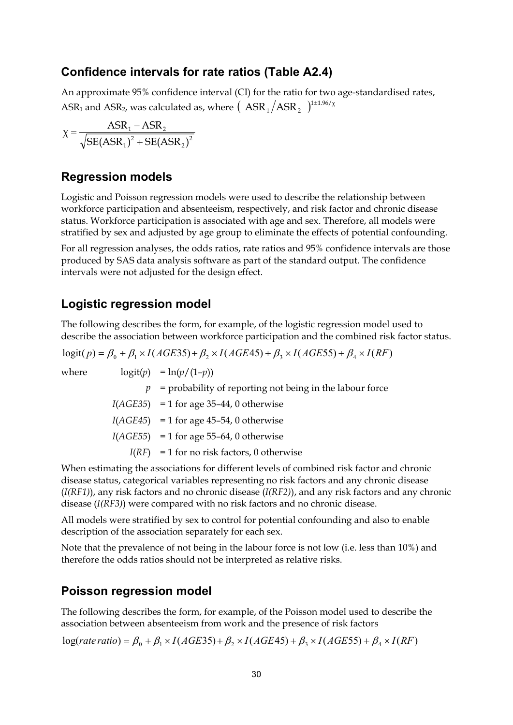### **Confidence intervals for rate ratios (Table A2.4)**

An approximate 95% confidence interval (CI) for the ratio for two age-standardised rates, ASR<sub>1</sub> and ASR<sub>2</sub>, was calculated as, where  $($   $\text{ASR}_1/\text{ASR}_2$   $)^{1\pm1.96/\chi}$ 

$$
\chi = \frac{\text{ASR}_1 - \text{ASR}_2}{\sqrt{\text{SE}(\text{ASR}_1)^2 + \text{SE}(\text{ASR}_2)^2}}
$$

### **Regression models**

Logistic and Poisson regression models were used to describe the relationship between workforce participation and absenteeism, respectively, and risk factor and chronic disease status. Workforce participation is associated with age and sex. Therefore, all models were stratified by sex and adjusted by age group to eliminate the effects of potential confounding.

For all regression analyses, the odds ratios, rate ratios and 95% confidence intervals are those produced by SAS data analysis software as part of the standard output. The confidence intervals were not adjusted for the design effect.

### **Logistic regression model**

The following describes the form, for example, of the logistic regression model used to describe the association between workforce participation and the combined risk factor status.

 $logit(p) = \beta_0 + \beta_1 \times I(AGE35) + \beta_2 \times I(AGE45) + \beta_3 \times I(AGE55) + \beta_4 \times I(RF)$ where  $\logit(p) = \ln(p/(1-p))$  $p =$  probability of reporting not being in the labour force  $I(AGE35) = 1$  for age 35–44, 0 otherwise  $I(AGE45) = 1$  for age 45–54, 0 otherwise  $I(AGE55) = 1$  for age 55–64, 0 otherwise  $I(RF) = 1$  for no risk factors, 0 otherwise

When estimating the associations for different levels of combined risk factor and chronic disease status, categorical variables representing no risk factors and any chronic disease (*I(RF1)*), any risk factors and no chronic disease (*I(RF2)*), and any risk factors and any chronic disease (*I(RF3)*) were compared with no risk factors and no chronic disease.

All models were stratified by sex to control for potential confounding and also to enable description of the association separately for each sex.

Note that the prevalence of not being in the labour force is not low (i.e. less than 10%) and therefore the odds ratios should not be interpreted as relative risks.

### **Poisson regression model**

The following describes the form, for example, of the Poisson model used to describe the association between absenteeism from work and the presence of risk factors

 $\log(rate\ ratio) = \beta_0 + \beta_1 \times I(AGE35) + \beta_2 \times I(AGE45) + \beta_3 \times I(AGE55) + \beta_4 \times I(RF)$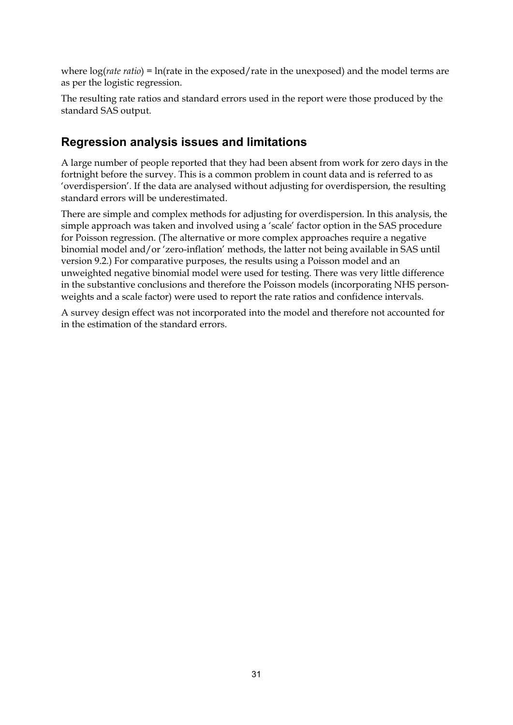where  $log(*rate ratio*) = ln(*rate in the exposed/rate in the unexposed*)$  and the model terms are as per the logistic regression.

The resulting rate ratios and standard errors used in the report were those produced by the standard SAS output.

### **Regression analysis issues and limitations**

A large number of people reported that they had been absent from work for zero days in the fortnight before the survey. This is a common problem in count data and is referred to as 'overdispersion'. If the data are analysed without adjusting for overdispersion, the resulting standard errors will be underestimated.

There are simple and complex methods for adjusting for overdispersion. In this analysis, the simple approach was taken and involved using a 'scale' factor option in the SAS procedure for Poisson regression. (The alternative or more complex approaches require a negative binomial model and/or 'zero-inflation' methods, the latter not being available in SAS until version 9.2.) For comparative purposes, the results using a Poisson model and an unweighted negative binomial model were used for testing. There was very little difference in the substantive conclusions and therefore the Poisson models (incorporating NHS personweights and a scale factor) were used to report the rate ratios and confidence intervals.

A survey design effect was not incorporated into the model and therefore not accounted for in the estimation of the standard errors.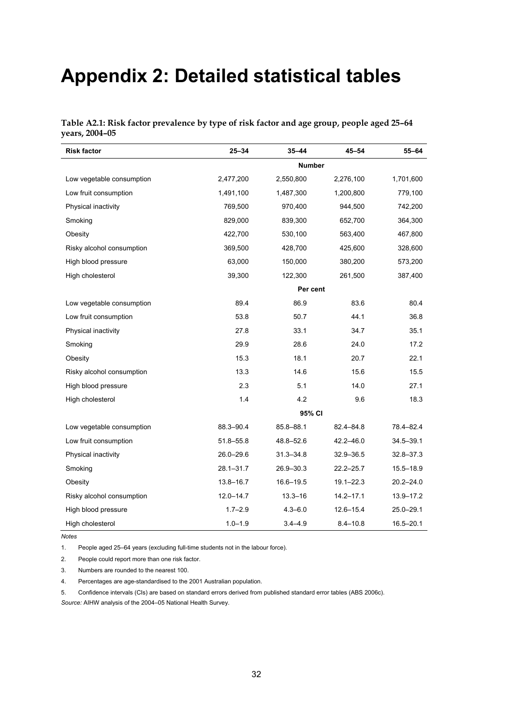# <span id="page-37-0"></span>**Appendix 2: Detailed statistical tables**

| Table A2.1: Risk factor prevalence by type of risk factor and age group, people aged 25-64 |  |  |  |
|--------------------------------------------------------------------------------------------|--|--|--|
| vears, 2004–05                                                                             |  |  |  |

| <b>Risk factor</b>        | $25 - 34$     | $35 - 44$     | 45-54         | 55-64         |
|---------------------------|---------------|---------------|---------------|---------------|
|                           |               | <b>Number</b> |               |               |
| Low vegetable consumption | 2,477,200     | 2,550,800     | 2,276,100     | 1,701,600     |
| Low fruit consumption     | 1,491,100     | 1,487,300     | 1,200,800     | 779,100       |
| Physical inactivity       | 769,500       | 970,400       | 944,500       | 742,200       |
| Smoking                   | 829,000       | 839,300       | 652,700       | 364,300       |
| Obesity                   | 422,700       | 530,100       | 563,400       | 467,800       |
| Risky alcohol consumption | 369,500       | 428,700       | 425,600       | 328,600       |
| High blood pressure       | 63,000        | 150,000       | 380,200       | 573,200       |
| High cholesterol          | 39,300        | 122,300       | 261,500       | 387,400       |
|                           |               | Per cent      |               |               |
| Low vegetable consumption | 89.4          | 86.9          | 83.6          | 80.4          |
| Low fruit consumption     | 53.8          | 50.7          | 44.1          | 36.8          |
| Physical inactivity       | 27.8          | 33.1          | 34.7          | 35.1          |
| Smoking                   | 29.9          | 28.6          | 24.0          | 17.2          |
| Obesity                   | 15.3          | 18.1          | 20.7          | 22.1          |
| Risky alcohol consumption | 13.3          | 14.6          | 15.6          | 15.5          |
| High blood pressure       | 2.3           | 5.1           | 14.0          | 27.1          |
| High cholesterol          | 1.4           | 4.2           | 9.6           | 18.3          |
|                           | 95% CI        |               |               |               |
| Low vegetable consumption | 88.3-90.4     | 85.8-88.1     | 82.4-84.8     | 78.4-82.4     |
| Low fruit consumption     | $51.8 - 55.8$ | 48.8-52.6     | 42.2-46.0     | $34.5 - 39.1$ |
| Physical inactivity       | $26.0 - 29.6$ | $31.3 - 34.8$ | $32.9 - 36.5$ | $32.8 - 37.3$ |
| Smoking                   | $28.1 - 31.7$ | $26.9 - 30.3$ | $22.2 - 25.7$ | $15.5 - 18.9$ |
| Obesity                   | $13.8 - 16.7$ | $16.6 - 19.5$ | $19.1 - 22.3$ | $20.2 - 24.0$ |
| Risky alcohol consumption | $12.0 - 14.7$ | $13.3 - 16$   | $14.2 - 17.1$ | 13.9-17.2     |
| High blood pressure       | $1.7 - 2.9$   | $4.3 - 6.0$   | $12.6 - 15.4$ | $25.0 - 29.1$ |
| High cholesterol          | $1.0 - 1.9$   | $3.4 - 4.9$   | $8.4 - 10.8$  | $16.5 - 20.1$ |

*Notes* 

1. People aged 25–64 years (excluding full-time students not in the labour force).

2. People could report more than one risk factor.

3. Numbers are rounded to the nearest 100.

4. Percentages are age-standardised to the 2001 Australian population.

5. Confidence intervals (CIs) are based on standard errors derived from published standard error tables (ABS 2006c). *Source:* AIHW analysis of the 2004–05 National Health Survey.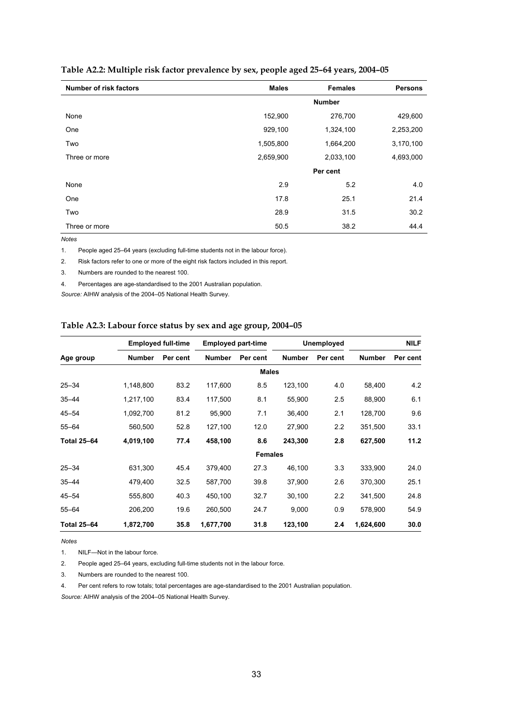| <b>Number of risk factors</b> | <b>Males</b> | <b>Females</b> | <b>Persons</b> |
|-------------------------------|--------------|----------------|----------------|
|                               |              | <b>Number</b>  |                |
| None                          | 152,900      | 276,700        | 429,600        |
| One                           | 929,100      | 1,324,100      | 2,253,200      |
| Two                           | 1,505,800    | 1,664,200      | 3,170,100      |
| Three or more                 | 2,659,900    | 2,033,100      | 4,693,000      |
|                               |              | Per cent       |                |
| None                          | 2.9          | 5.2            | 4.0            |
| One                           | 17.8         | 25.1           | 21.4           |
| Two                           | 28.9         | 31.5           | 30.2           |
| Three or more                 | 50.5         | 38.2           | 44.4           |

#### **Table A2.2: Multiple risk factor prevalence by sex, people aged 25–64 years, 2004–05**

*Notes* 

1. People aged 25–64 years (excluding full-time students not in the labour force).

2. Risk factors refer to one or more of the eight risk factors included in this report.

3. Numbers are rounded to the nearest 100.

4. Percentages are age-standardised to the 2001 Australian population.

*Source:* AIHW analysis of the 2004–05 National Health Survey.

#### **Table A2.3: Labour force status by sex and age group, 2004–05**

|                    |               | <b>Employed full-time</b> |               | <b>Employed part-time</b> |               | Unemployed |               | <b>NILF</b> |
|--------------------|---------------|---------------------------|---------------|---------------------------|---------------|------------|---------------|-------------|
| Age group          | <b>Number</b> | Per cent                  | <b>Number</b> | Per cent                  | <b>Number</b> | Per cent   | <b>Number</b> | Per cent    |
|                    |               |                           |               | <b>Males</b>              |               |            |               |             |
| $25 - 34$          | 1,148,800     | 83.2                      | 117,600       | 8.5                       | 123,100       | 4.0        | 58,400        | 4.2         |
| $35 - 44$          | 1,217,100     | 83.4                      | 117,500       | 8.1                       | 55,900        | 2.5        | 88,900        | 6.1         |
| $45 - 54$          | 1,092,700     | 81.2                      | 95,900        | 7.1                       | 36,400        | 2.1        | 128,700       | 9.6         |
| $55 - 64$          | 560,500       | 52.8                      | 127,100       | 12.0                      | 27,900        | 2.2        | 351,500       | 33.1        |
| <b>Total 25-64</b> | 4,019,100     | 77.4                      | 458,100       | 8.6                       | 243,300       | 2.8        | 627,500       | 11.2        |
|                    |               |                           |               | <b>Females</b>            |               |            |               |             |
| $25 - 34$          | 631,300       | 45.4                      | 379,400       | 27.3                      | 46,100        | 3.3        | 333,900       | 24.0        |
| $35 - 44$          | 479,400       | 32.5                      | 587,700       | 39.8                      | 37,900        | 2.6        | 370,300       | 25.1        |
| $45 - 54$          | 555,800       | 40.3                      | 450,100       | 32.7                      | 30,100        | 2.2        | 341,500       | 24.8        |
| $55 - 64$          | 206,200       | 19.6                      | 260,500       | 24.7                      | 9,000         | 0.9        | 578,900       | 54.9        |
| <b>Total 25-64</b> | 1,872,700     | 35.8                      | 1,677,700     | 31.8                      | 123,100       | 2.4        | 1,624,600     | 30.0        |

*Notes* 

1. NILF—Not in the labour force.

2. People aged 25–64 years, excluding full-time students not in the labour force.

3. Numbers are rounded to the nearest 100.

4. Per cent refers to row totals; total percentages are age-standardised to the 2001 Australian population.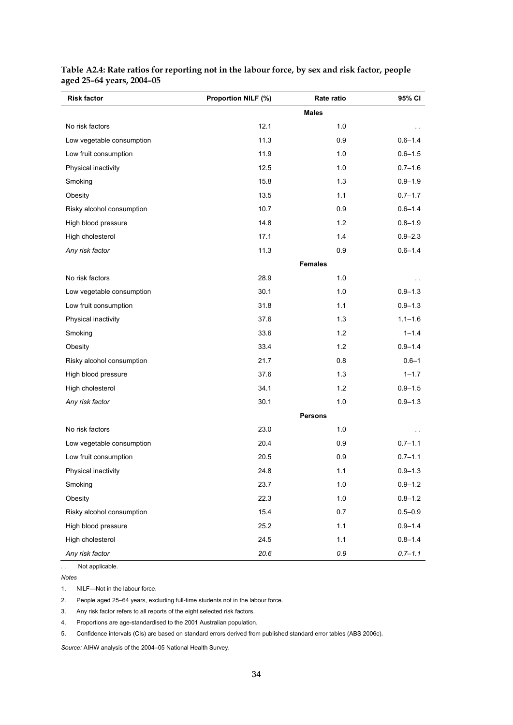| <b>Risk factor</b>        | Proportion NILF (%) | Rate ratio     | 95% CI      |
|---------------------------|---------------------|----------------|-------------|
|                           |                     | <b>Males</b>   |             |
| No risk factors           | 12.1                | 1.0            | $\sim$      |
| Low vegetable consumption | 11.3                | 0.9            | $0.6 - 1.4$ |
| Low fruit consumption     | 11.9                | 1.0            | $0.6 - 1.5$ |
| Physical inactivity       | 12.5                | 1.0            | $0.7 - 1.6$ |
| Smoking                   | 15.8                | 1.3            | $0.9 - 1.9$ |
| Obesity                   | 13.5                | 1.1            | $0.7 - 1.7$ |
| Risky alcohol consumption | 10.7                | 0.9            | $0.6 - 1.4$ |
| High blood pressure       | 14.8                | 1.2            | $0.8 - 1.9$ |
| High cholesterol          | 17.1                | 1.4            | $0.9 - 2.3$ |
| Any risk factor           | 11.3                | 0.9            | $0.6 - 1.4$ |
|                           |                     | <b>Females</b> |             |
| No risk factors           | 28.9                | 1.0            |             |
| Low vegetable consumption | 30.1                | 1.0            | $0.9 - 1.3$ |
| Low fruit consumption     | 31.8                | 1.1            | $0.9 - 1.3$ |
| Physical inactivity       | 37.6                | 1.3            | $1.1 - 1.6$ |
| Smoking                   | 33.6                | 1.2            | $1 - 1.4$   |
| Obesity                   | 33.4                | 1.2            | $0.9 - 1.4$ |
| Risky alcohol consumption | 21.7                | 0.8            | $0.6 - 1$   |
| High blood pressure       | 37.6                | 1.3            | $1 - 1.7$   |
| High cholesterol          | 34.1                | 1.2            | $0.9 - 1.5$ |
| Any risk factor           | 30.1                | 1.0            | $0.9 - 1.3$ |
|                           |                     | <b>Persons</b> |             |
| No risk factors           | 23.0                | 1.0            |             |
| Low vegetable consumption | 20.4                | 0.9            | $0.7 - 1.1$ |
| Low fruit consumption     | 20.5                | 0.9            | $0.7 - 1.1$ |
| Physical inactivity       | 24.8                | 1.1            | $0.9 - 1.3$ |
| Smoking                   | 23.7                | $1.0$          | $0.9 - 1.2$ |
| Obesity                   | 22.3                | $1.0$          | $0.8 - 1.2$ |
| Risky alcohol consumption | 15.4                | 0.7            | $0.5 - 0.9$ |
| High blood pressure       | 25.2                | 1.1            | $0.9 - 1.4$ |
| High cholesterol          | 24.5                | 1.1            | $0.8 - 1.4$ |
| Any risk factor           | 20.6                | 0.9            | $0.7 - 1.1$ |

#### **Table A2.4: Rate ratios for reporting not in the labour force, by sex and risk factor, people aged 25–64 years, 2004–05**

. . Not applicable.

*Notes*

1. NILF—Not in the labour force.

2. People aged 25–64 years, excluding full-time students not in the labour force.

3. Any risk factor refers to all reports of the eight selected risk factors.

4. Proportions are age-standardised to the 2001 Australian population.

5. Confidence intervals (CIs) are based on standard errors derived from published standard error tables (ABS 2006c).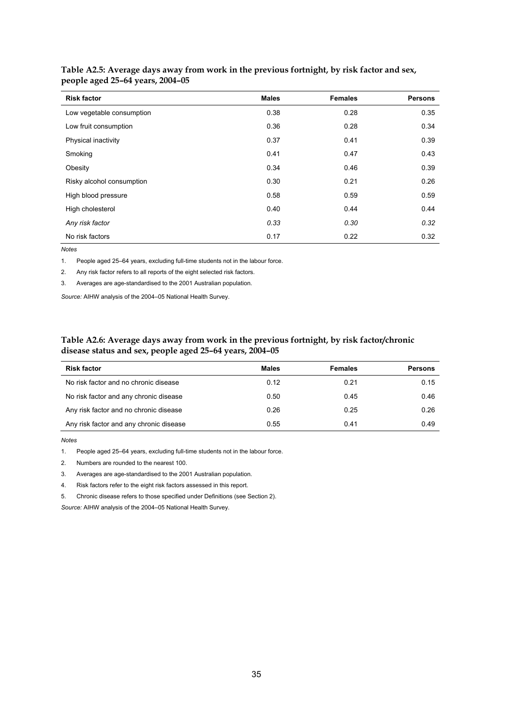| <b>Risk factor</b>        | <b>Males</b> | <b>Females</b> | <b>Persons</b> |
|---------------------------|--------------|----------------|----------------|
| Low vegetable consumption | 0.38         | 0.28           | 0.35           |
| Low fruit consumption     | 0.36         | 0.28           | 0.34           |
| Physical inactivity       | 0.37         | 0.41           | 0.39           |
| Smoking                   | 0.41         | 0.47           | 0.43           |
| Obesity                   | 0.34         | 0.46           | 0.39           |
| Risky alcohol consumption | 0.30         | 0.21           | 0.26           |
| High blood pressure       | 0.58         | 0.59           | 0.59           |
| High cholesterol          | 0.40         | 0.44           | 0.44           |
| Any risk factor           | 0.33         | 0.30           | 0.32           |
| No risk factors           | 0.17         | 0.22           | 0.32           |

**Table A2.5: Average days away from work in the previous fortnight, by risk factor and sex, people aged 25–64 years, 2004–05** 

*Notes*

1. People aged 25–64 years, excluding full-time students not in the labour force.

2. Any risk factor refers to all reports of the eight selected risk factors.

3. Averages are age-standardised to the 2001 Australian population.

*Source:* AIHW analysis of the 2004–05 National Health Survey.

#### **Table A2.6: Average days away from work in the previous fortnight, by risk factor/chronic disease status and sex, people aged 25–64 years, 2004–05**

| <b>Risk factor</b>                      | Males | <b>Females</b> | <b>Persons</b> |
|-----------------------------------------|-------|----------------|----------------|
| No risk factor and no chronic disease   | 0.12  | 0.21           | 0.15           |
| No risk factor and any chronic disease  | 0.50  | 0.45           | 0.46           |
| Any risk factor and no chronic disease  | 0.26  | 0.25           | 0.26           |
| Any risk factor and any chronic disease | 0.55  | 0.41           | 0.49           |

*Notes* 

1. People aged 25–64 years, excluding full-time students not in the labour force.

2. Numbers are rounded to the nearest 100.

3. Averages are age-standardised to the 2001 Australian population.

4. Risk factors refer to the eight risk factors assessed in this report.

5. Chronic disease refers to those specified under Definitions (see Section 2).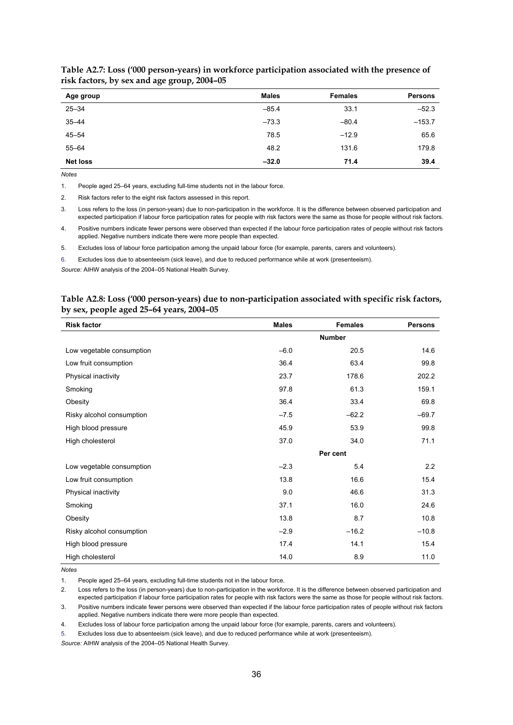| Age group       | <b>Males</b> | <b>Females</b> | <b>Persons</b> |
|-----------------|--------------|----------------|----------------|
| $25 - 34$       | $-85.4$      | 33.1           | $-52.3$        |
| $35 - 44$       | $-73.3$      | $-80.4$        | $-153.7$       |
| $45 - 54$       | 78.5         | $-12.9$        | 65.6           |
| $55 - 64$       | 48.2         | 131.6          | 179.8          |
| <b>Net loss</b> | $-32.0$      | 71.4           | 39.4           |

**Table A2.7: Loss ('000 person-years) in workforce participation associated with the presence of risk factors, by sex and age group, 2004–05** 

*Notes* 

1. People aged 25–64 years, excluding full-time students not in the labour force.

2. Risk factors refer to the eight risk factors assessed in this report.

3. Loss refers to the loss (in person-years) due to non-participation in the workforce. It is the difference between observed participation and expected participation if labour force participation rates for people with risk factors were the same as those for people without risk factors.

4. Positive numbers indicate fewer persons were observed than expected if the labour force participation rates of people without risk factors applied. Negative numbers indicate there were more people than expected.

5. Excludes loss of labour force participation among the unpaid labour force (for example, parents, carers and volunteers).

6. Excludes loss due to absenteeism (sick leave), and due to reduced performance while at work (presenteeism).

*Source:* AIHW analysis of the 2004–05 National Health Survey.

#### **Table A2.8: Loss ('000 person-years) due to non-participation associated with specific risk factors, by sex, people aged 25–64 years, 2004–05**

| <b>Risk factor</b>        | <b>Males</b>  | <b>Females</b> | <b>Persons</b> |
|---------------------------|---------------|----------------|----------------|
|                           | <b>Number</b> |                |                |
| Low vegetable consumption | $-6.0$        | 20.5           | 14.6           |
| Low fruit consumption     | 36.4          | 63.4           | 99.8           |
| Physical inactivity       | 23.7          | 178.6          | 202.2          |
| Smoking                   | 97.8          | 61.3           | 159.1          |
| Obesity                   | 36.4          | 33.4           | 69.8           |
| Risky alcohol consumption | $-7.5$        | $-62.2$        | $-69.7$        |
| High blood pressure       | 45.9          | 53.9           | 99.8           |
| High cholesterol          | 37.0          | 34.0           | 71.1           |
|                           | Per cent      |                |                |
| Low vegetable consumption | $-2.3$        | 5.4            | 2.2            |
| Low fruit consumption     | 13.8          | 16.6           | 15.4           |
| Physical inactivity       | 9.0           | 46.6           | 31.3           |
| Smoking                   | 37.1          | 16.0           | 24.6           |
| Obesity                   | 13.8          | 8.7            | 10.8           |
| Risky alcohol consumption | $-2.9$        | $-16.2$        | $-10.8$        |
| High blood pressure       | 17.4          | 14.1           | 15.4           |
| High cholesterol          | 14.0          | 8.9            | 11.0           |

*Notes* 

1. People aged 25–64 years, excluding full-time students not in the labour force.

2. Loss refers to the loss (in person-years) due to non-participation in the workforce. It is the difference between observed participation and expected participation if labour force participation rates for people with risk factors were the same as those for people without risk factors. 3. Positive numbers indicate fewer persons were observed than expected if the labour force participation rates of people without risk factors applied. Negative numbers indicate there were more people than expected.

4. Excludes loss of labour force participation among the unpaid labour force (for example, parents, carers and volunteers).

5. Excludes loss due to absenteeism (sick leave), and due to reduced performance while at work (presenteeism).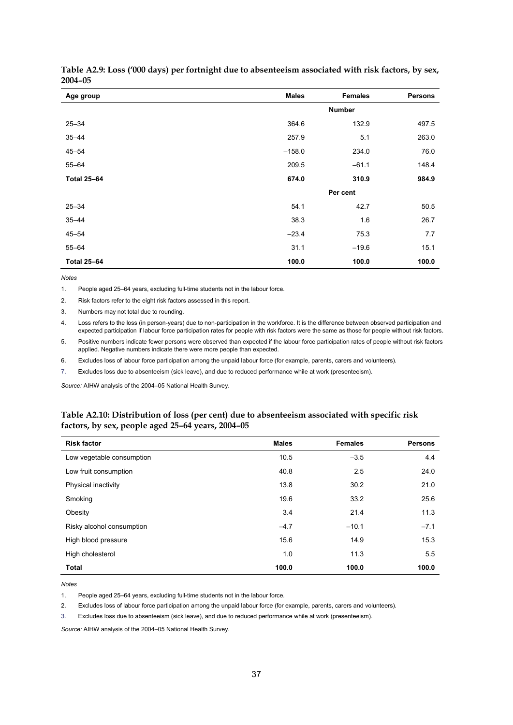| Age group          | <b>Males</b>  | <b>Females</b> | <b>Persons</b> |
|--------------------|---------------|----------------|----------------|
|                    | <b>Number</b> |                |                |
| $25 - 34$          | 364.6         | 132.9          | 497.5          |
| $35 - 44$          | 257.9         | 5.1            | 263.0          |
| $45 - 54$          | $-158.0$      | 234.0          | 76.0           |
| $55 - 64$          | 209.5         | $-61.1$        | 148.4          |
| <b>Total 25-64</b> | 674.0         | 310.9          | 984.9          |
|                    |               | Per cent       |                |
| $25 - 34$          | 54.1          | 42.7           | 50.5           |
| $35 - 44$          | 38.3          | 1.6            | 26.7           |
| $45 - 54$          | $-23.4$       | 75.3           | 7.7            |
| $55 - 64$          | 31.1          | $-19.6$        | 15.1           |
| <b>Total 25-64</b> | 100.0         | 100.0          | 100.0          |

**Table A2.9: Loss ('000 days) per fortnight due to absenteeism associated with risk factors, by sex, 2004–05** 

*Notes* 

1. People aged 25–64 years, excluding full-time students not in the labour force.

2. Risk factors refer to the eight risk factors assessed in this report.

3. Numbers may not total due to rounding.

4. Loss refers to the loss (in person-years) due to non-participation in the workforce. It is the difference between observed participation and expected participation if labour force participation rates for people with risk factors were the same as those for people without risk factors.

5. Positive numbers indicate fewer persons were observed than expected if the labour force participation rates of people without risk factors applied. Negative numbers indicate there were more people than expected.

6. Excludes loss of labour force participation among the unpaid labour force (for example, parents, carers and volunteers).

7. Excludes loss due to absenteeism (sick leave), and due to reduced performance while at work (presenteeism).

*Source:* AIHW analysis of the 2004–05 National Health Survey.

#### **Table A2.10: Distribution of loss (per cent) due to absenteeism associated with specific risk factors, by sex, people aged 25–64 years, 2004–05**

| <b>Risk factor</b>        | <b>Males</b> | <b>Females</b> | <b>Persons</b> |
|---------------------------|--------------|----------------|----------------|
| Low vegetable consumption | 10.5         | $-3.5$         | 4.4            |
| Low fruit consumption     | 40.8         | 2.5            | 24.0           |
| Physical inactivity       | 13.8         | 30.2           | 21.0           |
| Smoking                   | 19.6         | 33.2           | 25.6           |
| Obesity                   | 3.4          | 21.4           | 11.3           |
| Risky alcohol consumption | $-4.7$       | $-10.1$        | $-7.1$         |
| High blood pressure       | 15.6         | 14.9           | 15.3           |
| High cholesterol          | 1.0          | 11.3           | 5.5            |
| <b>Total</b>              | 100.0        | 100.0          | 100.0          |

*Notes* 

1. People aged 25–64 years, excluding full-time students not in the labour force.

2. Excludes loss of labour force participation among the unpaid labour force (for example, parents, carers and volunteers).

3. Excludes loss due to absenteeism (sick leave), and due to reduced performance while at work (presenteeism).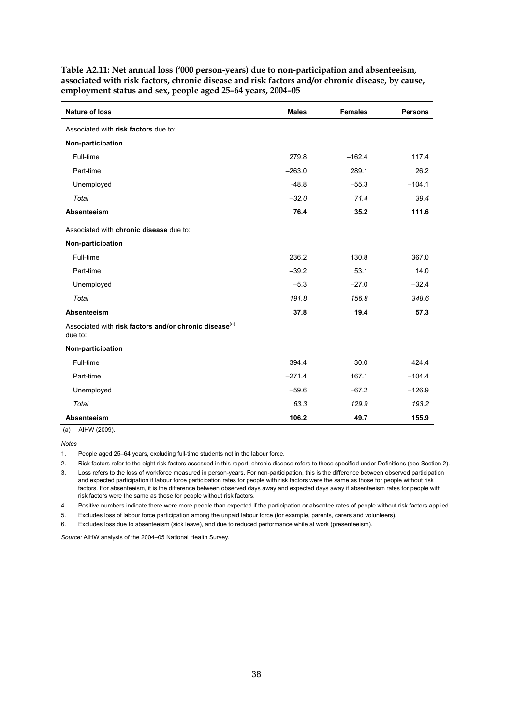| <b>Nature of loss</b>                                                         | <b>Males</b> | <b>Females</b> | <b>Persons</b> |
|-------------------------------------------------------------------------------|--------------|----------------|----------------|
| Associated with risk factors due to:                                          |              |                |                |
| Non-participation                                                             |              |                |                |
| Full-time                                                                     | 279.8        | $-162.4$       | 117.4          |
| Part-time                                                                     | $-263.0$     | 289.1          | 26.2           |
| Unemployed                                                                    | $-48.8$      | $-55.3$        | $-104.1$       |
| Total                                                                         | $-32.0$      | 71.4           | 39.4           |
| <b>Absenteeism</b>                                                            | 76.4         | 35.2           | 111.6          |
| Associated with chronic disease due to:                                       |              |                |                |
| Non-participation                                                             |              |                |                |
| Full-time                                                                     | 236.2        | 130.8          | 367.0          |
| Part-time                                                                     | $-39.2$      | 53.1           | 14.0           |
| Unemployed                                                                    | $-5.3$       | $-27.0$        | $-32.4$        |
| Total                                                                         | 191.8        | 156.8          | 348.6          |
| <b>Absenteeism</b>                                                            | 37.8         | 19.4           | 57.3           |
| Associated with risk factors and/or chronic disease <sup>(a)</sup><br>due to: |              |                |                |
| Non-participation                                                             |              |                |                |
| Full-time                                                                     | 394.4        | 30.0           | 424.4          |
| Part-time                                                                     | $-271.4$     | 167.1          | $-104.4$       |
| Unemployed                                                                    | $-59.6$      | $-67.2$        | $-126.9$       |
| Total                                                                         | 63.3         | 129.9          | 193.2          |
| <b>Absenteeism</b>                                                            | 106.2        | 49.7           | 155.9          |

**Table A2.11: Net annual loss ('000 person-years) due to non-participation and absenteeism, associated with risk factors, chronic disease and risk factors and/or chronic disease, by cause, employment status and sex, people aged 25–64 years, 2004–05** 

(a) AIHW (2009).

*Notes* 

1. People aged 25–64 years, excluding full-time students not in the labour force.

2. Risk factors refer to the eight risk factors assessed in this report; chronic disease refers to those specified under Definitions (see Section 2).

3. Loss refers to the loss of workforce measured in person-years. For non-participation, this is the difference between observed participation and expected participation if labour force participation rates for people with risk factors were the same as those for people without risk factors. For absenteeism, it is the difference between observed days away and expected days away if absenteeism rates for people with risk factors were the same as those for people without risk factors.

4. Positive numbers indicate there were more people than expected if the participation or absentee rates of people without risk factors applied.

5. Excludes loss of labour force participation among the unpaid labour force (for example, parents, carers and volunteers).

6. Excludes loss due to absenteeism (sick leave), and due to reduced performance while at work (presenteeism).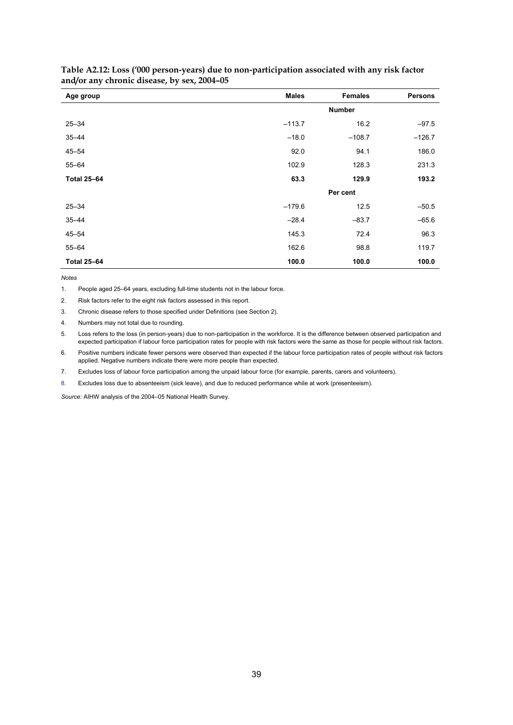| Age group          | <b>Males</b>  | <b>Females</b> | <b>Persons</b> |
|--------------------|---------------|----------------|----------------|
|                    | <b>Number</b> |                |                |
| $25 - 34$          | $-113.7$      | 16.2           | $-97.5$        |
| $35 - 44$          | $-18.0$       | $-108.7$       | $-126.7$       |
| $45 - 54$          | 92.0          | 94.1           | 186.0          |
| $55 - 64$          | 102.9         | 128.3          | 231.3          |
| <b>Total 25-64</b> | 63.3          | 129.9          | 193.2          |
|                    | Per cent      |                |                |
| $25 - 34$          | $-179.6$      | 12.5           | $-50.5$        |
| $35 - 44$          | $-28.4$       | $-83.7$        | $-65.6$        |
| $45 - 54$          | 145.3         | 72.4           | 96.3           |
| $55 - 64$          | 162.6         | 98.8           | 119.7          |
| <b>Total 25-64</b> | 100.0         | 100.0          | 100.0          |

#### **Table A2.12: Loss ('000 person-years) due to non-participation associated with any risk factor and/or any chronic disease, by sex, 2004–05**

*Notes* 

1. People aged 25–64 years, excluding full-time students not in the labour force.

2. Risk factors refer to the eight risk factors assessed in this report.

3. Chronic disease refers to those specified under Definitions (see Section 2).

4. Numbers may not total due to rounding.

5. Loss refers to the loss (in person-years) due to non-participation in the workforce. It is the difference between observed participation and expected participation if labour force participation rates for people with risk factors were the same as those for people without risk factors.

6. Positive numbers indicate fewer persons were observed than expected if the labour force participation rates of people without risk factors applied. Negative numbers indicate there were more people than expected.

7. Excludes loss of labour force participation among the unpaid labour force (for example, parents, carers and volunteers).

8. Excludes loss due to absenteeism (sick leave), and due to reduced performance while at work (presenteeism).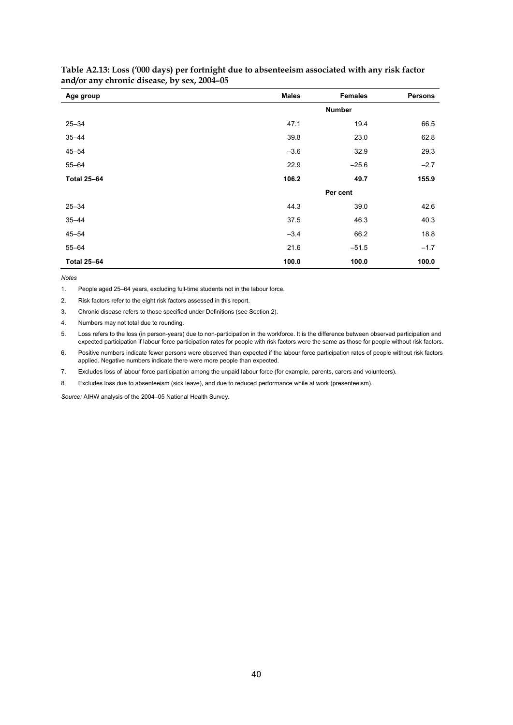| Age group          | <b>Males</b>  | <b>Females</b> | <b>Persons</b> |
|--------------------|---------------|----------------|----------------|
|                    | <b>Number</b> |                |                |
| $25 - 34$          | 47.1          | 19.4           | 66.5           |
| $35 - 44$          | 39.8          | 23.0           | 62.8           |
| $45 - 54$          | $-3.6$        | 32.9           | 29.3           |
| $55 - 64$          | 22.9          | $-25.6$        | $-2.7$         |
| <b>Total 25-64</b> | 106.2         | 49.7           | 155.9          |
|                    | Per cent      |                |                |
| $25 - 34$          | 44.3          | 39.0           | 42.6           |
| $35 - 44$          | 37.5          | 46.3           | 40.3           |
| $45 - 54$          | $-3.4$        | 66.2           | 18.8           |
| $55 - 64$          | 21.6          | $-51.5$        | $-1.7$         |
| <b>Total 25-64</b> | 100.0         | 100.0          | 100.0          |

#### **Table A2.13: Loss ('000 days) per fortnight due to absenteeism associated with any risk factor and/or any chronic disease, by sex, 2004–05**

*Notes* 

1. People aged 25–64 years, excluding full-time students not in the labour force.

2. Risk factors refer to the eight risk factors assessed in this report.

3. Chronic disease refers to those specified under Definitions (see Section 2).

4. Numbers may not total due to rounding.

5. Loss refers to the loss (in person-years) due to non-participation in the workforce. It is the difference between observed participation and expected participation if labour force participation rates for people with risk factors were the same as those for people without risk factors.

6. Positive numbers indicate fewer persons were observed than expected if the labour force participation rates of people without risk factors applied. Negative numbers indicate there were more people than expected.

7. Excludes loss of labour force participation among the unpaid labour force (for example, parents, carers and volunteers).

8. Excludes loss due to absenteeism (sick leave), and due to reduced performance while at work (presenteeism).